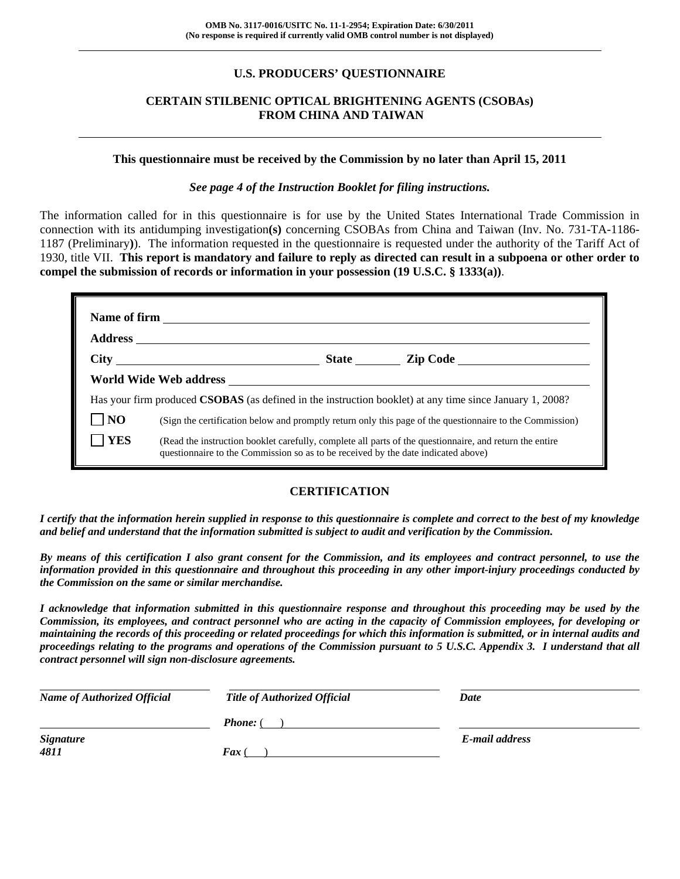# **U.S. PRODUCERS' QUESTIONNAIRE**

# **CERTAIN STILBENIC OPTICAL BRIGHTENING AGENTS (CSOBAs) FROM CHINA AND TAIWAN**

#### **This questionnaire must be received by the Commission by no later than April 15, 2011**

### *See page 4 of the Instruction Booklet for filing instructions.*

The information called for in this questionnaire is for use by the United States International Trade Commission in connection with its antidumping investigation**(s)** concerning CSOBAs from China and Taiwan (Inv. No. 731-TA-1186- 1187 (Preliminary**)**). The information requested in the questionnaire is requested under the authority of the Tariff Act of 1930, title VII. **This report is mandatory and failure to reply as directed can result in a subpoena or other order to compel the submission of records or information in your possession (19 U.S.C. § 1333(a))**.

|            | Has your firm produced <b>CSOBAS</b> (as defined in the instruction booklet) at any time since January 1, 2008?                                                                              |
|------------|----------------------------------------------------------------------------------------------------------------------------------------------------------------------------------------------|
| NO         | (Sign the certification below and promptly return only this page of the questionnaire to the Commission)                                                                                     |
| <b>YES</b> | (Read the instruction booklet carefully, complete all parts of the questionnaire, and return the entire<br>questionnaire to the Commission so as to be received by the date indicated above) |

# **CERTIFICATION**

*I certify that the information herein supplied in response to this questionnaire is complete and correct to the best of my knowledge and belief and understand that the information submitted is subject to audit and verification by the Commission.* 

*By means of this certification I also grant consent for the Commission, and its employees and contract personnel, to use the information provided in this questionnaire and throughout this proceeding in any other import-injury proceedings conducted by the Commission on the same or similar merchandise.* 

*I acknowledge that information submitted in this questionnaire response and throughout this proceeding may be used by the Commission, its employees, and contract personnel who are acting in the capacity of Commission employees, for developing or maintaining the records of this proceeding or related proceedings for which this information is submitted, or in internal audits and proceedings relating to the programs and operations of the Commission pursuant to 5 U.S.C. Appendix 3. I understand that all contract personnel will sign non-disclosure agreements.* 

| <b>Name of Authorized Official</b> | <b>Title of Authorized Official</b> | Date           |
|------------------------------------|-------------------------------------|----------------|
|                                    | <b>Phone:</b> (                     |                |
| <b>Signature</b><br>4811           | $\boldsymbol{F}$ ax (               | E-mail address |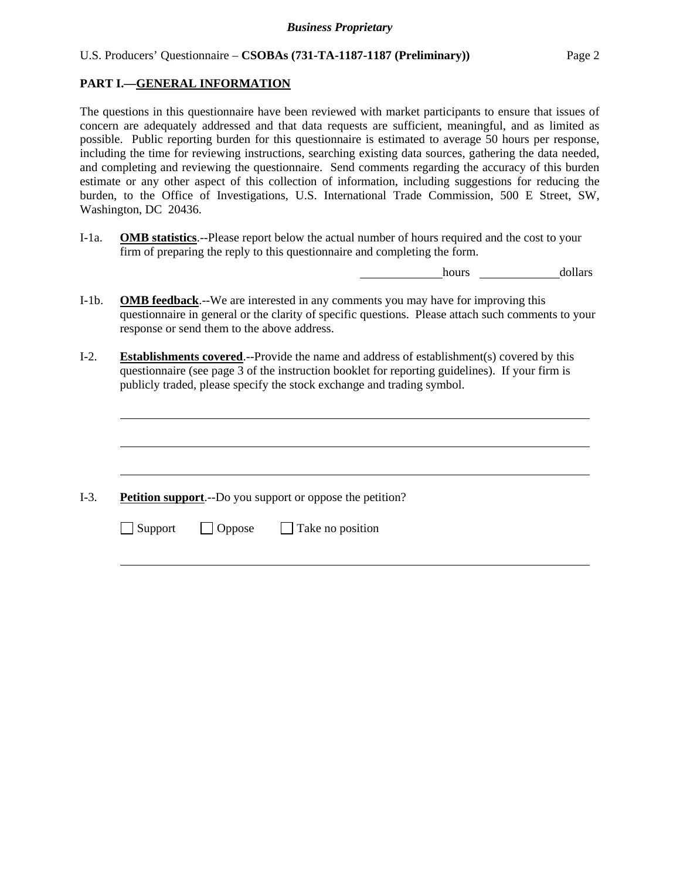# **PART I.—GENERAL INFORMATION**

The questions in this questionnaire have been reviewed with market participants to ensure that issues of concern are adequately addressed and that data requests are sufficient, meaningful, and as limited as possible. Public reporting burden for this questionnaire is estimated to average 50 hours per response, including the time for reviewing instructions, searching existing data sources, gathering the data needed, and completing and reviewing the questionnaire. Send comments regarding the accuracy of this burden estimate or any other aspect of this collection of information, including suggestions for reducing the burden, to the Office of Investigations, U.S. International Trade Commission, 500 E Street, SW, Washington, DC 20436.

I-1a. **OMB statistics**.--Please report below the actual number of hours required and the cost to your firm of preparing the reply to this questionnaire and completing the form.

hours dollars

- I-1b. **OMB feedback**.--We are interested in any comments you may have for improving this questionnaire in general or the clarity of specific questions. Please attach such comments to your response or send them to the above address.
- I-2. **Establishments covered**.--Provide the name and address of establishment(s) covered by this questionnaire (see page 3 of the instruction booklet for reporting guidelines). If your firm is publicly traded, please specify the stock exchange and trading symbol.

I-3. **Petition support**.--Do you support or oppose the petition?

 $\Box$  Support  $\Box$  Oppose  $\Box$  Take no position

 $\overline{a}$ 

 $\overline{a}$ 

 $\overline{a}$ 

l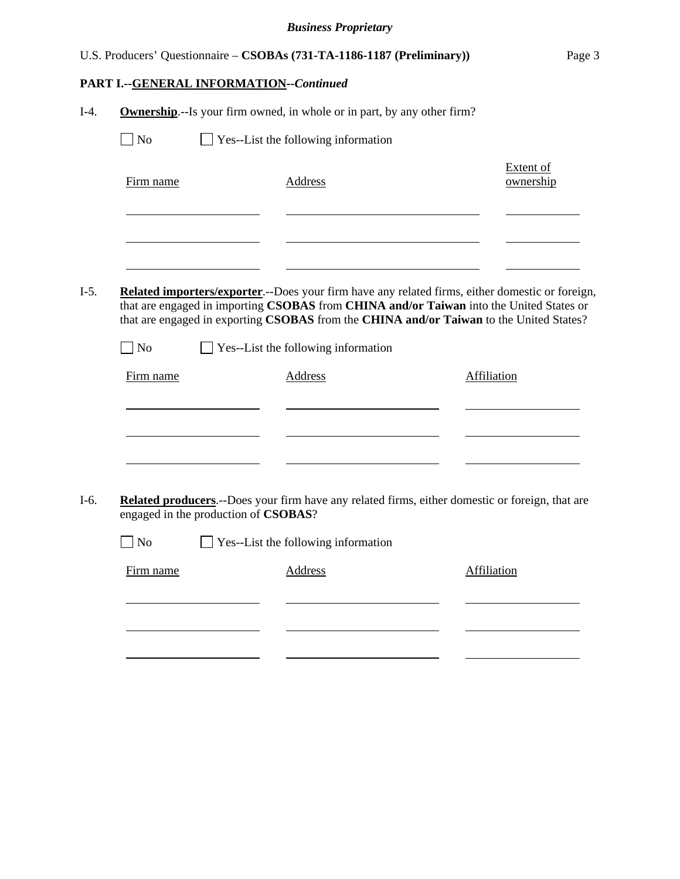| U.S. Producers' Questionnaire – CSOBAs (731-TA-1186-1187 (Preliminary)) | Page 3 |
|-------------------------------------------------------------------------|--------|

|            |                                      | <b>Ownership.</b> --Is your firm owned, in whole or in part, by any other firm? |                                                                                                                                                                                            |
|------------|--------------------------------------|---------------------------------------------------------------------------------|--------------------------------------------------------------------------------------------------------------------------------------------------------------------------------------------|
| $\vert$ No |                                      | Yes--List the following information                                             |                                                                                                                                                                                            |
| Firm name  |                                      | <b>Address</b>                                                                  | <b>Extent of</b><br>ownership                                                                                                                                                              |
|            |                                      |                                                                                 | Related importers/exporter.--Does your firm have any related firms, either domestic or foreign,<br>that are engaged in importing CSOBAS from CHINA and/or Taiwan into the United States or |
| $\Box$ No  |                                      | $\Box$ Yes--List the following information                                      | that are engaged in exporting CSOBAS from the CHINA and/or Taiwan to the United States?                                                                                                    |
| Firm name  |                                      | Address                                                                         | Affiliation                                                                                                                                                                                |
|            |                                      |                                                                                 |                                                                                                                                                                                            |
|            | engaged in the production of CSOBAS? |                                                                                 |                                                                                                                                                                                            |
| $\log$     |                                      | Yes--List the following information                                             |                                                                                                                                                                                            |
| Firm name  |                                      | <b>Address</b>                                                                  | <b>Affiliation</b>                                                                                                                                                                         |
|            |                                      |                                                                                 | Related producers.--Does your firm have any related firms, either domestic or foreign, that are                                                                                            |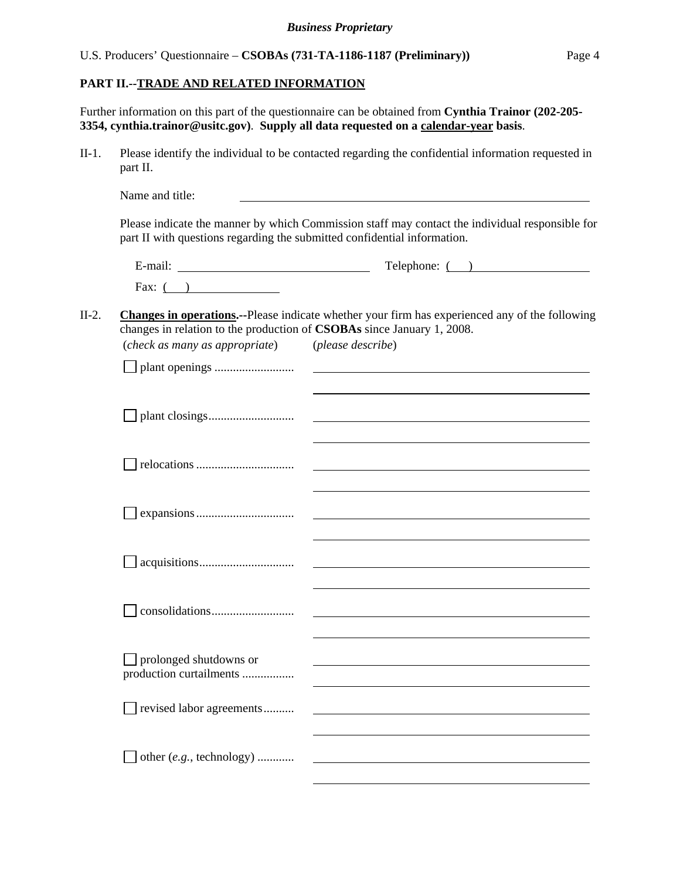**PART II.--TRADE AND RELATED INFORMATION**

Further information on this part of the questionnaire can be obtained from **Cynthia Trainor (202-205- 3354, cynthia.trainor@usitc.gov)**. **Supply all data requested on a calendar-year basis**.

II-1. Please identify the individual to be contacted regarding the confidential information requested in part II.

Name and title: Please indicate the manner by which Commission staff may contact the individual responsible for part II with questions regarding the submitted confidential information.

| $\cdot$ $\cdot$<br>∃-mail. | $\mathbf{r}$<br>Telephone:<br>∸ |
|----------------------------|---------------------------------|
| Fax:                       |                                 |

#### II-2. **Changes in operations.--**Please indicate whether your firm has experienced any of the following changes in relation to the production of **CSOBAs** since January 1, 2008.<br>(check as many as appropriate) (please describe) (*check as many as appropriate*) (*please describe*)

| (check as many as appropriate)                           | (pieuse aescrive)                                                                                                |
|----------------------------------------------------------|------------------------------------------------------------------------------------------------------------------|
|                                                          |                                                                                                                  |
|                                                          |                                                                                                                  |
|                                                          |                                                                                                                  |
|                                                          |                                                                                                                  |
|                                                          |                                                                                                                  |
|                                                          |                                                                                                                  |
|                                                          |                                                                                                                  |
|                                                          |                                                                                                                  |
|                                                          |                                                                                                                  |
|                                                          |                                                                                                                  |
|                                                          |                                                                                                                  |
|                                                          |                                                                                                                  |
|                                                          |                                                                                                                  |
| $\Box$ prolonged shutdowns or<br>production curtailments | and the control of the control of the control of the control of the control of the control of the control of the |
|                                                          |                                                                                                                  |
| revised labor agreements                                 |                                                                                                                  |
|                                                          |                                                                                                                  |
| other (e.g., technology)                                 |                                                                                                                  |
|                                                          |                                                                                                                  |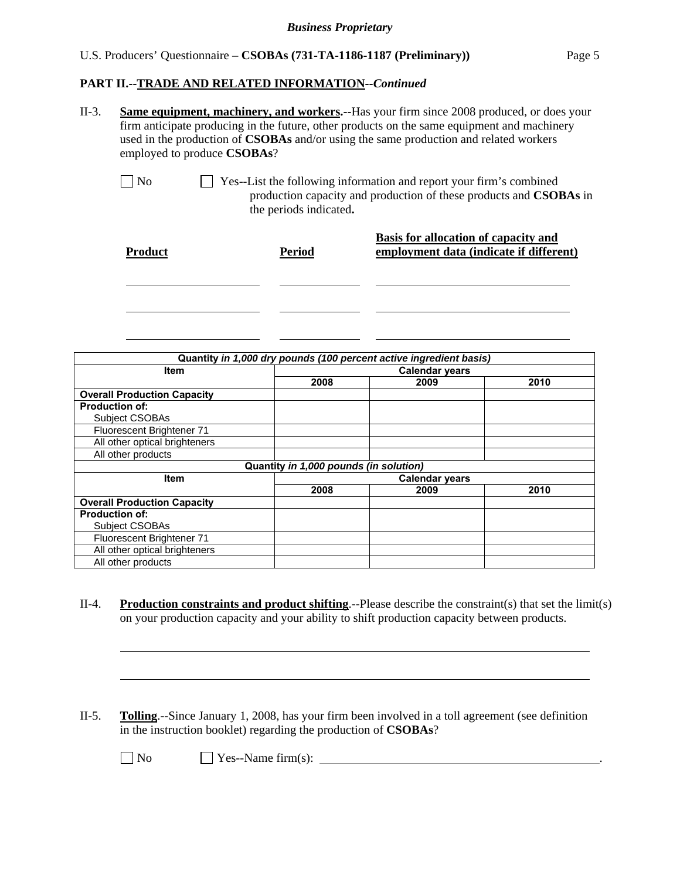### U.S. Producers' Questionnaire – **CSOBAs (731-TA-1186-1187 (Preliminary))** Page 5

#### **PART II.--TRADE AND RELATED INFORMATION***--Continued*

| $II-3$ . | <b>Same equipment, machinery, and workers.</b> --Has your firm since 2008 produced, or does your |
|----------|--------------------------------------------------------------------------------------------------|
|          | firm anticipate producing in the future, other products on the same equipment and machinery      |
|          | used in the production of <b>CSOBAs</b> and/or using the same production and related workers     |
|          | employed to produce CSOBAs?                                                                      |

l

No Ses--List the following information and report your firm's combined production capacity and production of these products and **CSOBAs** in the periods indicated**.**

| <b>Product</b> | Period | Basis for allocation of capacity and<br>employment data (indicate if different) |
|----------------|--------|---------------------------------------------------------------------------------|
|                |        |                                                                                 |
|                |        |                                                                                 |

| Quantity in 1,000 dry pounds (100 percent active ingredient basis) |                                        |      |      |  |
|--------------------------------------------------------------------|----------------------------------------|------|------|--|
| <b>Item</b>                                                        | <b>Calendar years</b>                  |      |      |  |
|                                                                    | 2008                                   | 2009 | 2010 |  |
| <b>Overall Production Capacity</b>                                 |                                        |      |      |  |
| <b>Production of:</b>                                              |                                        |      |      |  |
| <b>Subject CSOBAs</b>                                              |                                        |      |      |  |
| Fluorescent Brightener 71                                          |                                        |      |      |  |
| All other optical brighteners                                      |                                        |      |      |  |
| All other products                                                 |                                        |      |      |  |
|                                                                    | Quantity in 1,000 pounds (in solution) |      |      |  |
| <b>Item</b>                                                        | <b>Calendar years</b>                  |      |      |  |
|                                                                    | 2008                                   | 2009 | 2010 |  |
| <b>Overall Production Capacity</b>                                 |                                        |      |      |  |
| <b>Production of:</b>                                              |                                        |      |      |  |
| <b>Subject CSOBAs</b>                                              |                                        |      |      |  |
| Fluorescent Brightener 71                                          |                                        |      |      |  |
| All other optical brighteners                                      |                                        |      |      |  |
| All other products                                                 |                                        |      |      |  |

- II-4. **Production constraints and product shifting**.--Please describe the constraint(s) that set the limit(s) on your production capacity and your ability to shift production capacity between products.
- II-5. **Tolling**.--Since January 1, 2008, has your firm been involved in a toll agreement (see definition in the instruction booklet) regarding the production of **CSOBAs**?

 $\overline{a}$ 

 $\overline{a}$ 

 $\Box$  No  $\Box$  Yes--Name firm(s):  $\Box$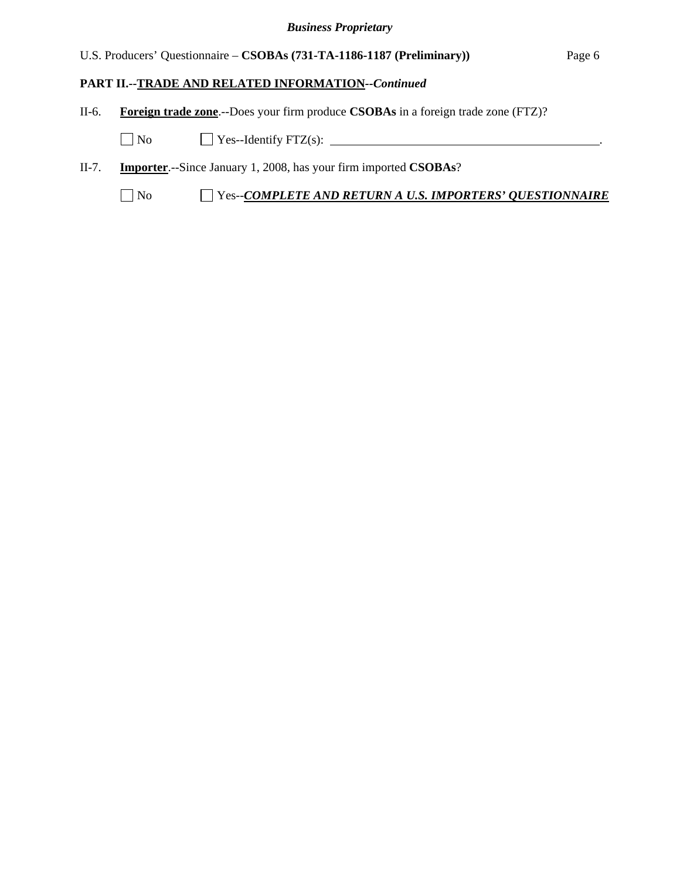# U.S. Producers' Questionnaire – **CSOBAs (731-TA-1186-1187 (Preliminary))** Page 6

# **PART II.--TRADE AND RELATED INFORMATION***--Continued*

II-6. **Foreign trade zone**.--Does your firm produce **CSOBAs** in a foreign trade zone (FTZ)?

 $\Box$  No  $\Box$  Yes--Identify FTZ(s):  $\Box$ 

II-7. **Importer**.--Since January 1, 2008, has your firm imported **CSOBAs**?

No Yes--*COMPLETE AND RETURN A U.S. IMPORTERS' QUESTIONNAIRE*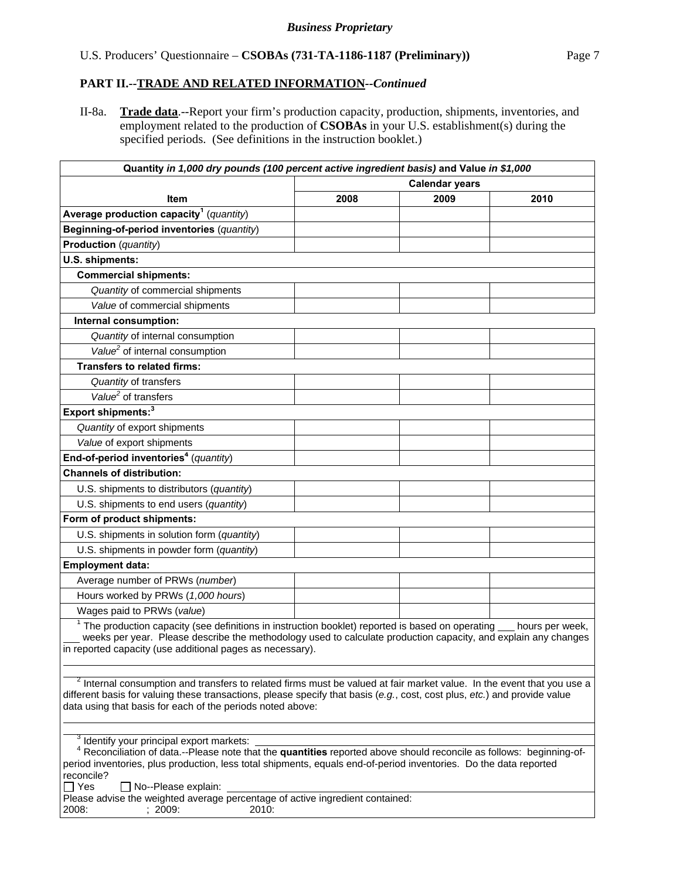# **PART II.--TRADE AND RELATED INFORMATION***--Continued*

II-8a. **Trade data**.--Report your firm's production capacity, production, shipments, inventories, and employment related to the production of **CSOBAs** in your U.S. establishment(s) during the specified periods. (See definitions in the instruction booklet.)

| Quantity in 1,000 dry pounds (100 percent active ingredient basis) and Value in \$1,000                                                                                                                                                                                                                   |                       |      |      |  |
|-----------------------------------------------------------------------------------------------------------------------------------------------------------------------------------------------------------------------------------------------------------------------------------------------------------|-----------------------|------|------|--|
|                                                                                                                                                                                                                                                                                                           | <b>Calendar years</b> |      |      |  |
| <b>Item</b>                                                                                                                                                                                                                                                                                               | 2008                  | 2009 | 2010 |  |
| Average production capacity <sup>1</sup> (quantity)                                                                                                                                                                                                                                                       |                       |      |      |  |
| Beginning-of-period inventories (quantity)                                                                                                                                                                                                                                                                |                       |      |      |  |
| <b>Production</b> (quantity)                                                                                                                                                                                                                                                                              |                       |      |      |  |
| U.S. shipments:                                                                                                                                                                                                                                                                                           |                       |      |      |  |
| <b>Commercial shipments:</b>                                                                                                                                                                                                                                                                              |                       |      |      |  |
| Quantity of commercial shipments                                                                                                                                                                                                                                                                          |                       |      |      |  |
| Value of commercial shipments                                                                                                                                                                                                                                                                             |                       |      |      |  |
| Internal consumption:                                                                                                                                                                                                                                                                                     |                       |      |      |  |
| Quantity of internal consumption                                                                                                                                                                                                                                                                          |                       |      |      |  |
| Value <sup>2</sup> of internal consumption                                                                                                                                                                                                                                                                |                       |      |      |  |
| <b>Transfers to related firms:</b>                                                                                                                                                                                                                                                                        |                       |      |      |  |
| Quantity of transfers                                                                                                                                                                                                                                                                                     |                       |      |      |  |
| Value <sup>2</sup> of transfers                                                                                                                                                                                                                                                                           |                       |      |      |  |
| Export shipments: <sup>3</sup>                                                                                                                                                                                                                                                                            |                       |      |      |  |
| Quantity of export shipments                                                                                                                                                                                                                                                                              |                       |      |      |  |
| Value of export shipments                                                                                                                                                                                                                                                                                 |                       |      |      |  |
| End-of-period inventories <sup>4</sup> (quantity)                                                                                                                                                                                                                                                         |                       |      |      |  |
| <b>Channels of distribution:</b>                                                                                                                                                                                                                                                                          |                       |      |      |  |
| U.S. shipments to distributors (quantity)                                                                                                                                                                                                                                                                 |                       |      |      |  |
| U.S. shipments to end users (quantity)                                                                                                                                                                                                                                                                    |                       |      |      |  |
| Form of product shipments:                                                                                                                                                                                                                                                                                |                       |      |      |  |
| U.S. shipments in solution form (quantity)                                                                                                                                                                                                                                                                |                       |      |      |  |
| U.S. shipments in powder form (quantity)                                                                                                                                                                                                                                                                  |                       |      |      |  |
| <b>Employment data:</b>                                                                                                                                                                                                                                                                                   |                       |      |      |  |
| Average number of PRWs (number)                                                                                                                                                                                                                                                                           |                       |      |      |  |
| Hours worked by PRWs (1,000 hours)                                                                                                                                                                                                                                                                        |                       |      |      |  |
| Wages paid to PRWs (value)                                                                                                                                                                                                                                                                                |                       |      |      |  |
| $1$ The production capacity (see definitions in instruction booklet) reported is based on operating $\_\_$ hours per week,<br>weeks per year. Please describe the methodology used to calculate production capacity, and explain any changes<br>in reported capacity (use additional pages as necessary). |                       |      |      |  |
| <sup>2</sup> Internal consumption and transfers to related firms must be valued at fair market value. In the event that you use a                                                                                                                                                                         |                       |      |      |  |
| different basis for valuing these transactions, please specify that basis (e.g., cost, cost plus, etc.) and provide value<br>data using that basis for each of the periods noted above:                                                                                                                   |                       |      |      |  |
|                                                                                                                                                                                                                                                                                                           |                       |      |      |  |
| <sup>3</sup> Identify your principal export markets:<br><sup>4</sup> Reconciliation of data.--Please note that the quantities reported above should reconcile as follows: beginning-of-                                                                                                                   |                       |      |      |  |
| period inventories, plus production, less total shipments, equals end-of-period inventories. Do the data reported<br>reconcile?<br>$\Box$ Yes<br>$\Box$ No--Please explain:                                                                                                                               |                       |      |      |  |
| Please advise the weighted average percentage of active ingredient contained:<br>2008:<br>2010:<br>:2009:                                                                                                                                                                                                 |                       |      |      |  |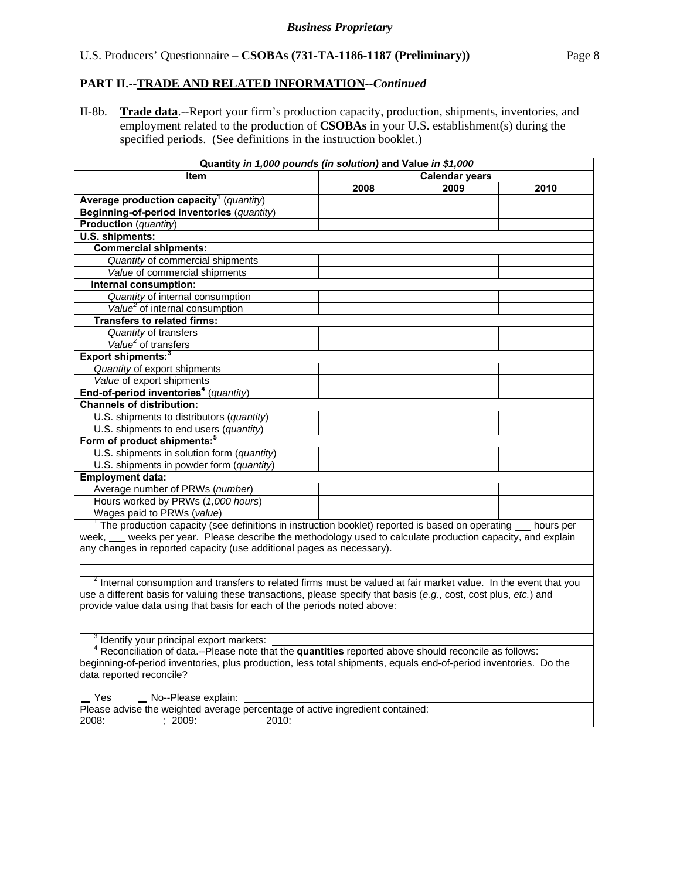# **PART II.--TRADE AND RELATED INFORMATION***--Continued*

II-8b. **Trade data**.--Report your firm's production capacity, production, shipments, inventories, and employment related to the production of **CSOBAs** in your U.S. establishment(s) during the specified periods. (See definitions in the instruction booklet.)

| Quantity in 1,000 pounds (in solution) and Value in \$1,000                                                            |                       |      |      |  |
|------------------------------------------------------------------------------------------------------------------------|-----------------------|------|------|--|
| <b>Item</b>                                                                                                            | <b>Calendar years</b> |      |      |  |
|                                                                                                                        | 2008                  | 2009 | 2010 |  |
| Average production capacity <sup>1</sup> (quantity)                                                                    |                       |      |      |  |
| Beginning-of-period inventories (quantity)                                                                             |                       |      |      |  |
| <b>Production</b> (quantity)                                                                                           |                       |      |      |  |
| U.S. shipments:                                                                                                        |                       |      |      |  |
| <b>Commercial shipments:</b>                                                                                           |                       |      |      |  |
| Quantity of commercial shipments                                                                                       |                       |      |      |  |
| Value of commercial shipments                                                                                          |                       |      |      |  |
| Internal consumption:                                                                                                  |                       |      |      |  |
| Quantity of internal consumption                                                                                       |                       |      |      |  |
| Value <sup>2</sup> of internal consumption                                                                             |                       |      |      |  |
| <b>Transfers to related firms:</b>                                                                                     |                       |      |      |  |
| Quantity of transfers                                                                                                  |                       |      |      |  |
| Value <sup>2</sup> of transfers                                                                                        |                       |      |      |  |
| Export shipments: <sup>3</sup>                                                                                         |                       |      |      |  |
| Quantity of export shipments                                                                                           |                       |      |      |  |
| Value of export shipments                                                                                              |                       |      |      |  |
| End-of-period inventories <sup>4</sup> (quantity)                                                                      |                       |      |      |  |
| <b>Channels of distribution:</b>                                                                                       |                       |      |      |  |
| U.S. shipments to distributors (quantity)                                                                              |                       |      |      |  |
| U.S. shipments to end users (quantity)                                                                                 |                       |      |      |  |
| Form of product shipments: <sup>5</sup>                                                                                |                       |      |      |  |
| U.S. shipments in solution form (quantity)                                                                             |                       |      |      |  |
| U.S. shipments in powder form (quantity)                                                                               |                       |      |      |  |
| <b>Employment data:</b>                                                                                                |                       |      |      |  |
| Average number of PRWs (number)                                                                                        |                       |      |      |  |
| Hours worked by PRWs (1,000 hours)                                                                                     |                       |      |      |  |
| Wages paid to PRWs (value)                                                                                             |                       |      |      |  |
| $1$ The production capacity (see definitions in instruction booklet) reported is based on operating $\qquad$ hours per |                       |      |      |  |
| week, __ weeks per year. Please describe the methodology used to calculate production capacity, and explain            |                       |      |      |  |
| any changes in reported capacity (use additional pages as necessary).                                                  |                       |      |      |  |
|                                                                                                                        |                       |      |      |  |
| $2$ Internal consumption and transfers to related firms must be valued at fair market value. In the event that you     |                       |      |      |  |
| use a different basis for valuing these transactions, please specify that basis (e.g., cost, cost plus, etc.) and      |                       |      |      |  |
| provide value data using that basis for each of the periods noted above:                                               |                       |      |      |  |
|                                                                                                                        |                       |      |      |  |
|                                                                                                                        |                       |      |      |  |
| <sup>3</sup> Identify your principal export markets:                                                                   |                       |      |      |  |
| <sup>4</sup> Reconciliation of data.--Please note that the quantities reported above should reconcile as follows:      |                       |      |      |  |
| beginning-of-period inventories, plus production, less total shipments, equals end-of-period inventories. Do the       |                       |      |      |  |
| data reported reconcile?                                                                                               |                       |      |      |  |
|                                                                                                                        |                       |      |      |  |
| $\square$ Yes<br>$\Box$ No--Please explain:                                                                            |                       |      |      |  |
| Please advise the weighted average percentage of active ingredient contained:                                          |                       |      |      |  |
| 2008:<br>: 2009:<br>2010:                                                                                              |                       |      |      |  |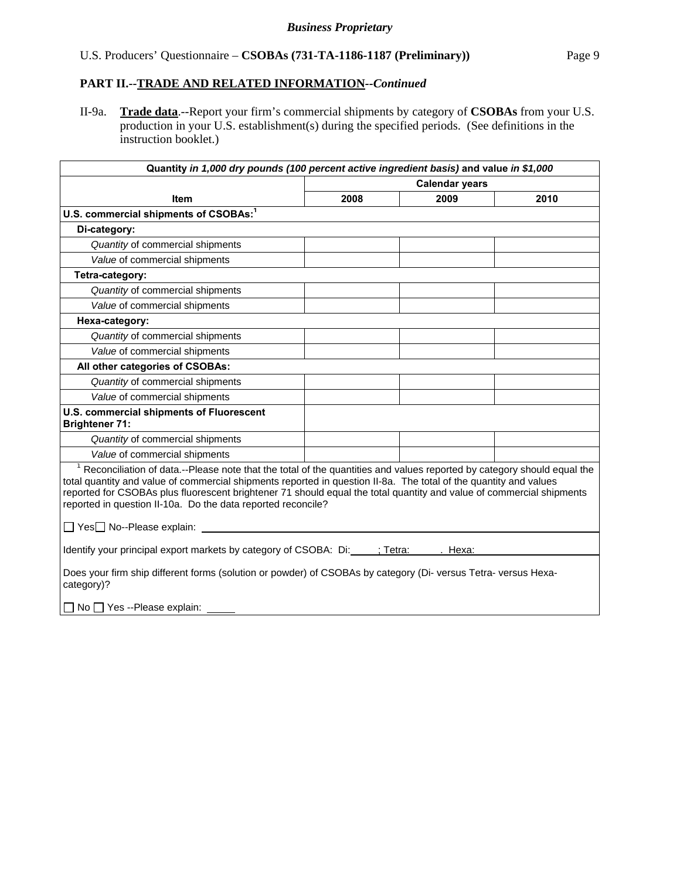#### *Business Proprietary*

# U.S. Producers' Questionnaire – **CSOBAs (731-TA-1186-1187 (Preliminary))** Page 9

# **PART II.--TRADE AND RELATED INFORMATION***--Continued*

II-9a. **Trade data**.--Report your firm's commercial shipments by category of **CSOBAs** from your U.S. production in your U.S. establishment(s) during the specified periods. (See definitions in the instruction booklet.)

| Quantity in 1,000 dry pounds (100 percent active ingredient basis) and value in \$1,000                                                                                                                                                                                                                                                                                                                                                                                        |                       |         |      |  |
|--------------------------------------------------------------------------------------------------------------------------------------------------------------------------------------------------------------------------------------------------------------------------------------------------------------------------------------------------------------------------------------------------------------------------------------------------------------------------------|-----------------------|---------|------|--|
|                                                                                                                                                                                                                                                                                                                                                                                                                                                                                | <b>Calendar years</b> |         |      |  |
| <b>Item</b>                                                                                                                                                                                                                                                                                                                                                                                                                                                                    | 2008                  | 2009    | 2010 |  |
| U.S. commercial shipments of CSOBAs: <sup>1</sup>                                                                                                                                                                                                                                                                                                                                                                                                                              |                       |         |      |  |
| Di-category:                                                                                                                                                                                                                                                                                                                                                                                                                                                                   |                       |         |      |  |
| Quantity of commercial shipments                                                                                                                                                                                                                                                                                                                                                                                                                                               |                       |         |      |  |
| Value of commercial shipments                                                                                                                                                                                                                                                                                                                                                                                                                                                  |                       |         |      |  |
| Tetra-category:                                                                                                                                                                                                                                                                                                                                                                                                                                                                |                       |         |      |  |
| Quantity of commercial shipments                                                                                                                                                                                                                                                                                                                                                                                                                                               |                       |         |      |  |
| Value of commercial shipments                                                                                                                                                                                                                                                                                                                                                                                                                                                  |                       |         |      |  |
| Hexa-category:                                                                                                                                                                                                                                                                                                                                                                                                                                                                 |                       |         |      |  |
| Quantity of commercial shipments                                                                                                                                                                                                                                                                                                                                                                                                                                               |                       |         |      |  |
| Value of commercial shipments                                                                                                                                                                                                                                                                                                                                                                                                                                                  |                       |         |      |  |
| All other categories of CSOBAs:                                                                                                                                                                                                                                                                                                                                                                                                                                                |                       |         |      |  |
| Quantity of commercial shipments                                                                                                                                                                                                                                                                                                                                                                                                                                               |                       |         |      |  |
| Value of commercial shipments                                                                                                                                                                                                                                                                                                                                                                                                                                                  |                       |         |      |  |
| U.S. commercial shipments of Fluorescent<br><b>Brightener 71:</b>                                                                                                                                                                                                                                                                                                                                                                                                              |                       |         |      |  |
| Quantity of commercial shipments                                                                                                                                                                                                                                                                                                                                                                                                                                               |                       |         |      |  |
| Value of commercial shipments                                                                                                                                                                                                                                                                                                                                                                                                                                                  |                       |         |      |  |
| <sup>1</sup> Reconciliation of data.--Please note that the total of the quantities and values reported by category should equal the<br>total quantity and value of commercial shipments reported in question II-8a. The total of the quantity and values<br>reported for CSOBAs plus fluorescent brightener 71 should equal the total quantity and value of commercial shipments<br>reported in question II-10a. Do the data reported reconcile?<br>□ Yes□ No--Please explain: |                       |         |      |  |
|                                                                                                                                                                                                                                                                                                                                                                                                                                                                                |                       |         |      |  |
| Identify your principal export markets by category of CSOBA: Di: ; Tetra:                                                                                                                                                                                                                                                                                                                                                                                                      |                       | . Hexa: |      |  |
| Does your firm ship different forms (solution or powder) of CSOBAs by category (Di-versus Tetra-versus Hexa-<br>category)?                                                                                                                                                                                                                                                                                                                                                     |                       |         |      |  |
| $\Box$ No $\Box$ Yes --Please explain:                                                                                                                                                                                                                                                                                                                                                                                                                                         |                       |         |      |  |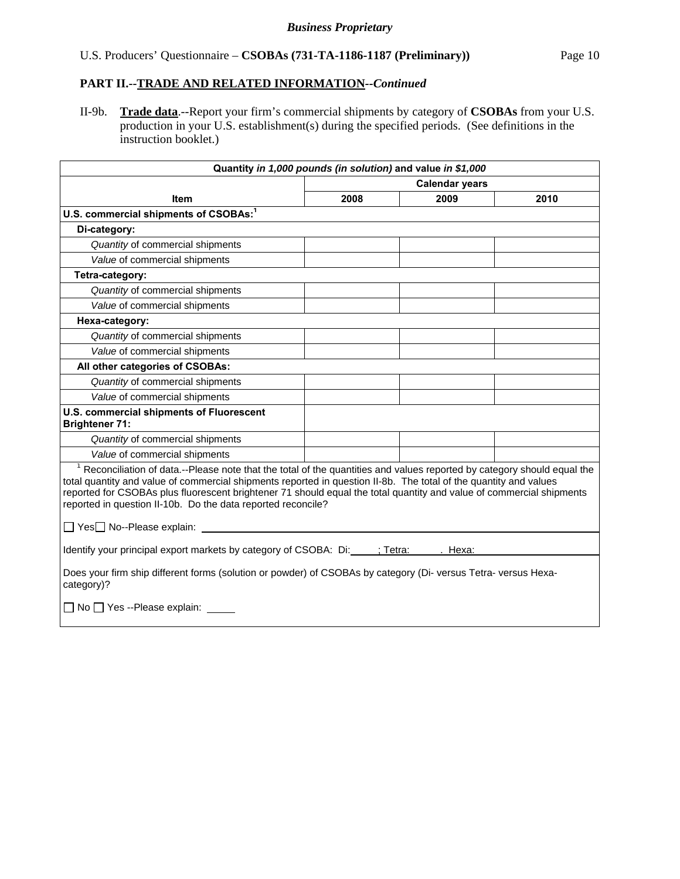#### *Business Proprietary*

# U.S. Producers' Questionnaire – **CSOBAs (731-TA-1186-1187 (Preliminary))** Page 10

# **PART II.--TRADE AND RELATED INFORMATION***--Continued*

II-9b. **Trade data**.--Report your firm's commercial shipments by category of **CSOBAs** from your U.S. production in your U.S. establishment(s) during the specified periods. (See definitions in the instruction booklet.)

| Quantity in 1,000 pounds (in solution) and value in \$1,000                                                                                                                                                                                                                                                                                                                                                                                      |                       |      |      |  |
|--------------------------------------------------------------------------------------------------------------------------------------------------------------------------------------------------------------------------------------------------------------------------------------------------------------------------------------------------------------------------------------------------------------------------------------------------|-----------------------|------|------|--|
|                                                                                                                                                                                                                                                                                                                                                                                                                                                  | <b>Calendar years</b> |      |      |  |
| <b>Item</b>                                                                                                                                                                                                                                                                                                                                                                                                                                      | 2008                  | 2009 | 2010 |  |
| U.S. commercial shipments of CSOBAs: <sup>1</sup>                                                                                                                                                                                                                                                                                                                                                                                                |                       |      |      |  |
| Di-category:                                                                                                                                                                                                                                                                                                                                                                                                                                     |                       |      |      |  |
| Quantity of commercial shipments                                                                                                                                                                                                                                                                                                                                                                                                                 |                       |      |      |  |
| Value of commercial shipments                                                                                                                                                                                                                                                                                                                                                                                                                    |                       |      |      |  |
| Tetra-category:                                                                                                                                                                                                                                                                                                                                                                                                                                  |                       |      |      |  |
| Quantity of commercial shipments                                                                                                                                                                                                                                                                                                                                                                                                                 |                       |      |      |  |
| Value of commercial shipments                                                                                                                                                                                                                                                                                                                                                                                                                    |                       |      |      |  |
| Hexa-category:                                                                                                                                                                                                                                                                                                                                                                                                                                   |                       |      |      |  |
| Quantity of commercial shipments                                                                                                                                                                                                                                                                                                                                                                                                                 |                       |      |      |  |
| Value of commercial shipments                                                                                                                                                                                                                                                                                                                                                                                                                    |                       |      |      |  |
| All other categories of CSOBAs:                                                                                                                                                                                                                                                                                                                                                                                                                  |                       |      |      |  |
| Quantity of commercial shipments                                                                                                                                                                                                                                                                                                                                                                                                                 |                       |      |      |  |
| Value of commercial shipments                                                                                                                                                                                                                                                                                                                                                                                                                    |                       |      |      |  |
| U.S. commercial shipments of Fluorescent<br><b>Brightener 71:</b>                                                                                                                                                                                                                                                                                                                                                                                |                       |      |      |  |
| Quantity of commercial shipments                                                                                                                                                                                                                                                                                                                                                                                                                 |                       |      |      |  |
| Value of commercial shipments                                                                                                                                                                                                                                                                                                                                                                                                                    |                       |      |      |  |
| <sup>1</sup> Reconciliation of data.--Please note that the total of the quantities and values reported by category should equal the<br>total quantity and value of commercial shipments reported in question II-8b. The total of the quantity and values<br>reported for CSOBAs plus fluorescent brightener 71 should equal the total quantity and value of commercial shipments<br>reported in question II-10b. Do the data reported reconcile? |                       |      |      |  |
|                                                                                                                                                                                                                                                                                                                                                                                                                                                  |                       |      |      |  |
| Identify your principal export markets by category of CSOBA: Di: ; Tetra: . Hexa:                                                                                                                                                                                                                                                                                                                                                                |                       |      |      |  |
| Does your firm ship different forms (solution or powder) of CSOBAs by category (Di-versus Tetra-versus Hexa-<br>category)?                                                                                                                                                                                                                                                                                                                       |                       |      |      |  |
| □ No □ Yes --Please explain: _____                                                                                                                                                                                                                                                                                                                                                                                                               |                       |      |      |  |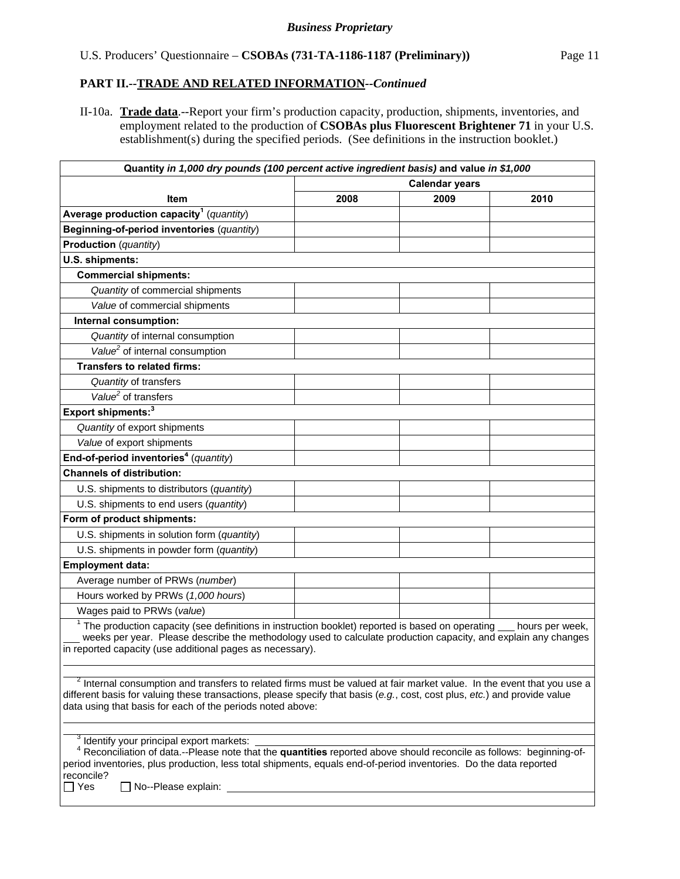# **PART II.--TRADE AND RELATED INFORMATION***--Continued*

II-10a. **Trade data**.--Report your firm's production capacity, production, shipments, inventories, and employment related to the production of **CSOBAs plus Fluorescent Brightener 71** in your U.S. establishment(s) during the specified periods. (See definitions in the instruction booklet.)

| Quantity in 1,000 dry pounds (100 percent active ingredient basis) and value in \$1,000                                                                                                                                                                                                                                      |                       |      |                 |
|------------------------------------------------------------------------------------------------------------------------------------------------------------------------------------------------------------------------------------------------------------------------------------------------------------------------------|-----------------------|------|-----------------|
|                                                                                                                                                                                                                                                                                                                              | <b>Calendar years</b> |      |                 |
| Item                                                                                                                                                                                                                                                                                                                         | 2008                  | 2009 | 2010            |
| Average production capacity <sup>1</sup> (quantity)                                                                                                                                                                                                                                                                          |                       |      |                 |
| Beginning-of-period inventories (quantity)                                                                                                                                                                                                                                                                                   |                       |      |                 |
| <b>Production</b> (quantity)                                                                                                                                                                                                                                                                                                 |                       |      |                 |
| U.S. shipments:                                                                                                                                                                                                                                                                                                              |                       |      |                 |
| <b>Commercial shipments:</b>                                                                                                                                                                                                                                                                                                 |                       |      |                 |
| Quantity of commercial shipments                                                                                                                                                                                                                                                                                             |                       |      |                 |
| Value of commercial shipments                                                                                                                                                                                                                                                                                                |                       |      |                 |
| Internal consumption:                                                                                                                                                                                                                                                                                                        |                       |      |                 |
| Quantity of internal consumption                                                                                                                                                                                                                                                                                             |                       |      |                 |
| Value <sup>2</sup> of internal consumption                                                                                                                                                                                                                                                                                   |                       |      |                 |
| <b>Transfers to related firms:</b>                                                                                                                                                                                                                                                                                           |                       |      |                 |
| Quantity of transfers                                                                                                                                                                                                                                                                                                        |                       |      |                 |
| Value <sup>2</sup> of transfers                                                                                                                                                                                                                                                                                              |                       |      |                 |
| Export shipments: <sup>3</sup>                                                                                                                                                                                                                                                                                               |                       |      |                 |
| Quantity of export shipments                                                                                                                                                                                                                                                                                                 |                       |      |                 |
| Value of export shipments                                                                                                                                                                                                                                                                                                    |                       |      |                 |
| End-of-period inventories <sup>4</sup> (quantity)                                                                                                                                                                                                                                                                            |                       |      |                 |
| <b>Channels of distribution:</b>                                                                                                                                                                                                                                                                                             |                       |      |                 |
| U.S. shipments to distributors (quantity)                                                                                                                                                                                                                                                                                    |                       |      |                 |
| U.S. shipments to end users (quantity)                                                                                                                                                                                                                                                                                       |                       |      |                 |
| Form of product shipments:                                                                                                                                                                                                                                                                                                   |                       |      |                 |
| U.S. shipments in solution form (quantity)                                                                                                                                                                                                                                                                                   |                       |      |                 |
| U.S. shipments in powder form (quantity)                                                                                                                                                                                                                                                                                     |                       |      |                 |
| <b>Employment data:</b>                                                                                                                                                                                                                                                                                                      |                       |      |                 |
| Average number of PRWs (number)                                                                                                                                                                                                                                                                                              |                       |      |                 |
| Hours worked by PRWs (1,000 hours)                                                                                                                                                                                                                                                                                           |                       |      |                 |
| Wages paid to PRWs (value)                                                                                                                                                                                                                                                                                                   |                       |      |                 |
| $1$ The production capacity (see definitions in instruction booklet) reported is based on operating<br>weeks per year. Please describe the methodology used to calculate production capacity, and explain any changes<br>in reported capacity (use additional pages as necessary).                                           |                       |      | hours per week, |
|                                                                                                                                                                                                                                                                                                                              |                       |      |                 |
| <sup>2</sup> Internal consumption and transfers to related firms must be valued at fair market value. In the event that you use a<br>different basis for valuing these transactions, please specify that basis (e.g., cost, cost plus, etc.) and provide value<br>data using that basis for each of the periods noted above: |                       |      |                 |
|                                                                                                                                                                                                                                                                                                                              |                       |      |                 |
| <sup>3</sup> Identify your principal export markets:<br><sup>4</sup> Reconciliation of data.--Please note that the quantities reported above should reconcile as follows: beginning-of-                                                                                                                                      |                       |      |                 |
| period inventories, plus production, less total shipments, equals end-of-period inventories. Do the data reported<br>reconcile?                                                                                                                                                                                              |                       |      |                 |

Yes No--Please explain: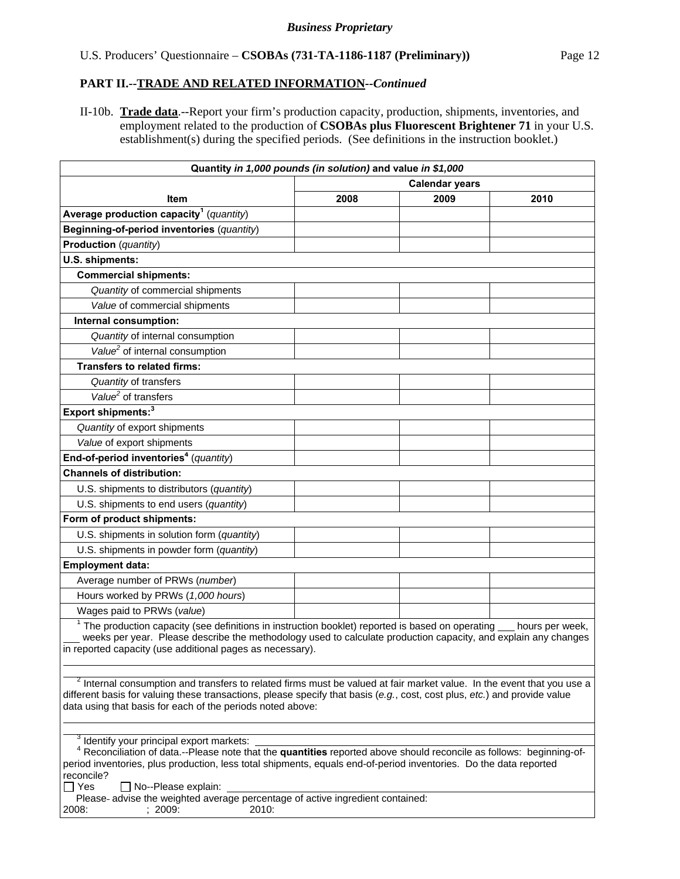### **PART II.--TRADE AND RELATED INFORMATION***--Continued*

II-10b. **Trade data**.--Report your firm's production capacity, production, shipments, inventories, and employment related to the production of **CSOBAs plus Fluorescent Brightener 71** in your U.S. establishment(s) during the specified periods. (See definitions in the instruction booklet.)

| Quantity in 1,000 pounds (in solution) and value in \$1,000                                                                                                                                                                                                                                                                                                                                     |                       |      |      |  |
|-------------------------------------------------------------------------------------------------------------------------------------------------------------------------------------------------------------------------------------------------------------------------------------------------------------------------------------------------------------------------------------------------|-----------------------|------|------|--|
|                                                                                                                                                                                                                                                                                                                                                                                                 | <b>Calendar years</b> |      |      |  |
| Item                                                                                                                                                                                                                                                                                                                                                                                            | 2008                  | 2009 | 2010 |  |
| Average production capacity <sup>1</sup> (quantity)                                                                                                                                                                                                                                                                                                                                             |                       |      |      |  |
| Beginning-of-period inventories (quantity)                                                                                                                                                                                                                                                                                                                                                      |                       |      |      |  |
| <b>Production</b> (quantity)                                                                                                                                                                                                                                                                                                                                                                    |                       |      |      |  |
| U.S. shipments:                                                                                                                                                                                                                                                                                                                                                                                 |                       |      |      |  |
| <b>Commercial shipments:</b>                                                                                                                                                                                                                                                                                                                                                                    |                       |      |      |  |
| Quantity of commercial shipments                                                                                                                                                                                                                                                                                                                                                                |                       |      |      |  |
| Value of commercial shipments                                                                                                                                                                                                                                                                                                                                                                   |                       |      |      |  |
| Internal consumption:                                                                                                                                                                                                                                                                                                                                                                           |                       |      |      |  |
| Quantity of internal consumption                                                                                                                                                                                                                                                                                                                                                                |                       |      |      |  |
| Value <sup>2</sup> of internal consumption                                                                                                                                                                                                                                                                                                                                                      |                       |      |      |  |
| <b>Transfers to related firms:</b>                                                                                                                                                                                                                                                                                                                                                              |                       |      |      |  |
| Quantity of transfers                                                                                                                                                                                                                                                                                                                                                                           |                       |      |      |  |
| Value <sup>2</sup> of transfers                                                                                                                                                                                                                                                                                                                                                                 |                       |      |      |  |
| Export shipments: <sup>3</sup>                                                                                                                                                                                                                                                                                                                                                                  |                       |      |      |  |
| Quantity of export shipments                                                                                                                                                                                                                                                                                                                                                                    |                       |      |      |  |
| Value of export shipments                                                                                                                                                                                                                                                                                                                                                                       |                       |      |      |  |
| End-of-period inventories <sup>4</sup> (quantity)                                                                                                                                                                                                                                                                                                                                               |                       |      |      |  |
| <b>Channels of distribution:</b>                                                                                                                                                                                                                                                                                                                                                                |                       |      |      |  |
| U.S. shipments to distributors (quantity)                                                                                                                                                                                                                                                                                                                                                       |                       |      |      |  |
| U.S. shipments to end users (quantity)                                                                                                                                                                                                                                                                                                                                                          |                       |      |      |  |
| Form of product shipments:                                                                                                                                                                                                                                                                                                                                                                      |                       |      |      |  |
| U.S. shipments in solution form (quantity)                                                                                                                                                                                                                                                                                                                                                      |                       |      |      |  |
| U.S. shipments in powder form (quantity)                                                                                                                                                                                                                                                                                                                                                        |                       |      |      |  |
| <b>Employment data:</b>                                                                                                                                                                                                                                                                                                                                                                         |                       |      |      |  |
| Average number of PRWs (number)                                                                                                                                                                                                                                                                                                                                                                 |                       |      |      |  |
| Hours worked by PRWs (1,000 hours)                                                                                                                                                                                                                                                                                                                                                              |                       |      |      |  |
| Wages paid to PRWs (value)                                                                                                                                                                                                                                                                                                                                                                      |                       |      |      |  |
| $1$ The production capacity (see definitions in instruction booklet) reported is based on operating $\_$<br>hours per week,<br>weeks per year. Please describe the methodology used to calculate production capacity, and explain any changes<br>in reported capacity (use additional pages as necessary).                                                                                      |                       |      |      |  |
|                                                                                                                                                                                                                                                                                                                                                                                                 |                       |      |      |  |
| $2$ Internal consumption and transfers to related firms must be valued at fair market value. In the event that you use a<br>different basis for valuing these transactions, please specify that basis (e.g., cost, cost plus, etc.) and provide value<br>data using that basis for each of the periods noted above:                                                                             |                       |      |      |  |
| <sup>3</sup> Identify your principal export markets:                                                                                                                                                                                                                                                                                                                                            |                       |      |      |  |
| <sup>4</sup> Reconciliation of data.--Please note that the quantities reported above should reconcile as follows: beginning-of-<br>period inventories, plus production, less total shipments, equals end-of-period inventories. Do the data reported<br>reconcile?<br>$\sqsupset$ Yes<br>□ No--Please explain:<br>Please-advise the weighted average percentage of active ingredient contained: |                       |      |      |  |

2008: ; 2009: 2010: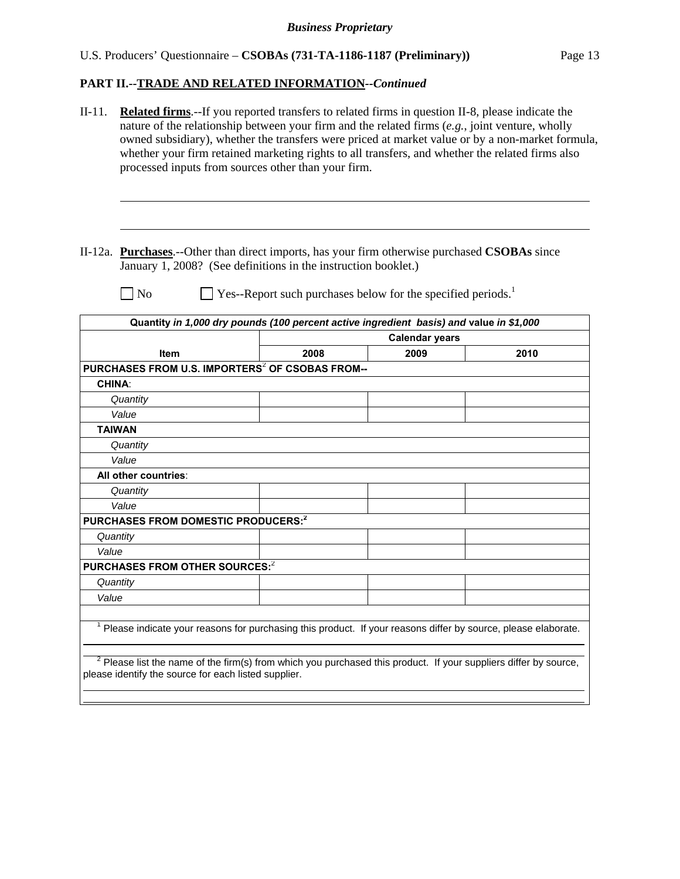# U.S. Producers' Questionnaire – **CSOBAs (731-TA-1186-1187 (Preliminary))** Page 13

# **PART II.--TRADE AND RELATED INFORMATION***--Continued*

| $II-11.$ | <b>Related firms</b> .--If you reported transfers to related firms in question II-8, please indicate the<br>nature of the relationship between your firm and the related firms $(e.g.,)$ joint venture, wholly<br>processed inputs from sources other than your firm. |                                                                          |                               | owned subsidiary), whether the transfers were priced at market value or by a non-market formula,<br>whether your firm retained marketing rights to all transfers, and whether the related firms also |
|----------|-----------------------------------------------------------------------------------------------------------------------------------------------------------------------------------------------------------------------------------------------------------------------|--------------------------------------------------------------------------|-------------------------------|------------------------------------------------------------------------------------------------------------------------------------------------------------------------------------------------------|
|          | II-12a. <b>Purchases</b> .--Other than direct imports, has your firm otherwise purchased <b>CSOBAs</b> since<br>January 1, 2008? (See definitions in the instruction booklet.)<br>N <sub>0</sub>                                                                      | Yes--Report such purchases below for the specified periods. <sup>1</sup> |                               |                                                                                                                                                                                                      |
|          |                                                                                                                                                                                                                                                                       |                                                                          |                               |                                                                                                                                                                                                      |
|          | Quantity in 1,000 dry pounds (100 percent active ingredient basis) and value in \$1,000                                                                                                                                                                               |                                                                          |                               |                                                                                                                                                                                                      |
|          | <b>Item</b>                                                                                                                                                                                                                                                           | 2008                                                                     | <b>Calendar years</b><br>2009 | 2010                                                                                                                                                                                                 |
|          | PURCHASES FROM U.S. IMPORTERS <sup>2</sup> OF CSOBAS FROM--                                                                                                                                                                                                           |                                                                          |                               |                                                                                                                                                                                                      |
|          | <b>CHINA:</b>                                                                                                                                                                                                                                                         |                                                                          |                               |                                                                                                                                                                                                      |
|          | Quantity                                                                                                                                                                                                                                                              |                                                                          |                               |                                                                                                                                                                                                      |
|          | Value                                                                                                                                                                                                                                                                 |                                                                          |                               |                                                                                                                                                                                                      |
|          | <b>TAIWAN</b>                                                                                                                                                                                                                                                         |                                                                          |                               |                                                                                                                                                                                                      |
|          | Quantity                                                                                                                                                                                                                                                              |                                                                          |                               |                                                                                                                                                                                                      |
|          | Value                                                                                                                                                                                                                                                                 |                                                                          |                               |                                                                                                                                                                                                      |
|          | All other countries:                                                                                                                                                                                                                                                  |                                                                          |                               |                                                                                                                                                                                                      |
|          | Quantity                                                                                                                                                                                                                                                              |                                                                          |                               |                                                                                                                                                                                                      |
|          | Value                                                                                                                                                                                                                                                                 |                                                                          |                               |                                                                                                                                                                                                      |
|          | PURCHASES FROM DOMESTIC PRODUCERS: <sup>2</sup>                                                                                                                                                                                                                       |                                                                          |                               |                                                                                                                                                                                                      |
|          | Quantity                                                                                                                                                                                                                                                              |                                                                          |                               |                                                                                                                                                                                                      |
| Value    |                                                                                                                                                                                                                                                                       |                                                                          |                               |                                                                                                                                                                                                      |
|          | PURCHASES FROM OTHER SOURCES:2                                                                                                                                                                                                                                        |                                                                          |                               |                                                                                                                                                                                                      |
|          | Quantity                                                                                                                                                                                                                                                              |                                                                          |                               |                                                                                                                                                                                                      |
| Value    |                                                                                                                                                                                                                                                                       |                                                                          |                               |                                                                                                                                                                                                      |
|          | <sup>1</sup> Please indicate your reasons for purchasing this product. If your reasons differ by source, please elaborate.                                                                                                                                            |                                                                          |                               |                                                                                                                                                                                                      |
|          | $2$ Please list the name of the firm(s) from which you purchased this product. If your suppliers differ by source,<br>please identify the source for each listed supplier.                                                                                            |                                                                          |                               |                                                                                                                                                                                                      |
|          |                                                                                                                                                                                                                                                                       |                                                                          |                               |                                                                                                                                                                                                      |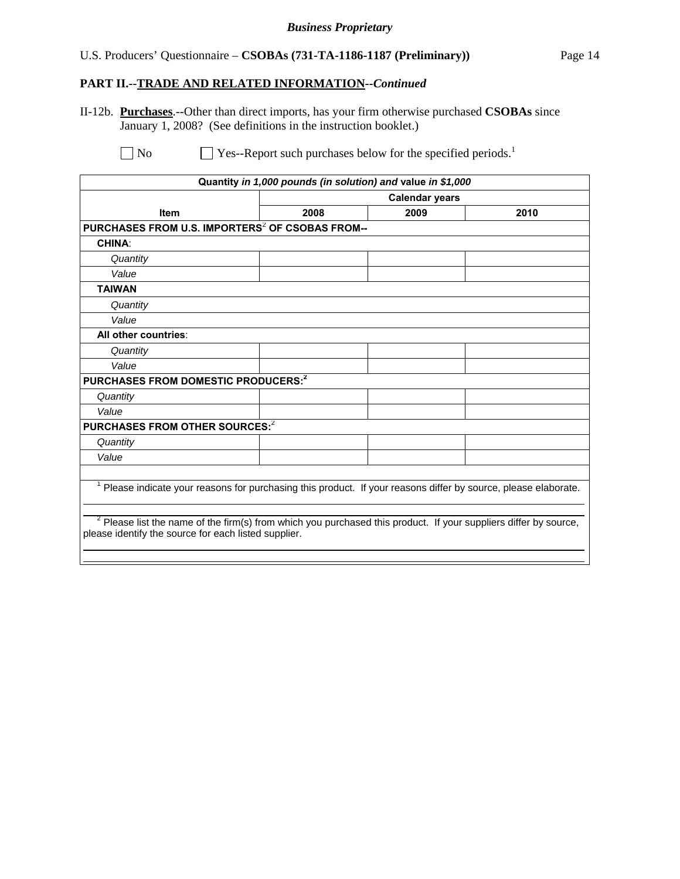#### *Business Proprietary*

# U.S. Producers' Questionnaire – **CSOBAs (731-TA-1186-1187 (Preliminary))** Page 14

# **PART II.--TRADE AND RELATED INFORMATION***--Continued*

II-12b. **Purchases**.--Other than direct imports, has your firm otherwise purchased **CSOBAs** since January 1, 2008? (See definitions in the instruction booklet.)

 $\Box$  No  $\Box$  Yes--Report such purchases below for the specified periods.<sup>1</sup>

| Quantity in 1,000 pounds (in solution) and value in \$1,000                                                                                                                |                       |      |      |  |
|----------------------------------------------------------------------------------------------------------------------------------------------------------------------------|-----------------------|------|------|--|
|                                                                                                                                                                            | <b>Calendar years</b> |      |      |  |
| <b>Item</b>                                                                                                                                                                | 2008                  | 2009 | 2010 |  |
| PURCHASES FROM U.S. IMPORTERS <sup>2</sup> OF CSOBAS FROM--                                                                                                                |                       |      |      |  |
| <b>CHINA:</b>                                                                                                                                                              |                       |      |      |  |
| Quantity                                                                                                                                                                   |                       |      |      |  |
| Value                                                                                                                                                                      |                       |      |      |  |
| <b>TAIWAN</b>                                                                                                                                                              |                       |      |      |  |
| Quantity                                                                                                                                                                   |                       |      |      |  |
| Value                                                                                                                                                                      |                       |      |      |  |
| All other countries:                                                                                                                                                       |                       |      |      |  |
| Quantity                                                                                                                                                                   |                       |      |      |  |
| Value                                                                                                                                                                      |                       |      |      |  |
| PURCHASES FROM DOMESTIC PRODUCERS: <sup>2</sup>                                                                                                                            |                       |      |      |  |
| Quantity                                                                                                                                                                   |                       |      |      |  |
| Value                                                                                                                                                                      |                       |      |      |  |
| PURCHASES FROM OTHER SOURCES: <sup>2</sup>                                                                                                                                 |                       |      |      |  |
| Quantity                                                                                                                                                                   |                       |      |      |  |
| Value                                                                                                                                                                      |                       |      |      |  |
|                                                                                                                                                                            |                       |      |      |  |
| Please indicate your reasons for purchasing this product. If your reasons differ by source, please elaborate.                                                              |                       |      |      |  |
| $2$ Please list the name of the firm(s) from which you purchased this product. If your suppliers differ by source,<br>please identify the source for each listed supplier. |                       |      |      |  |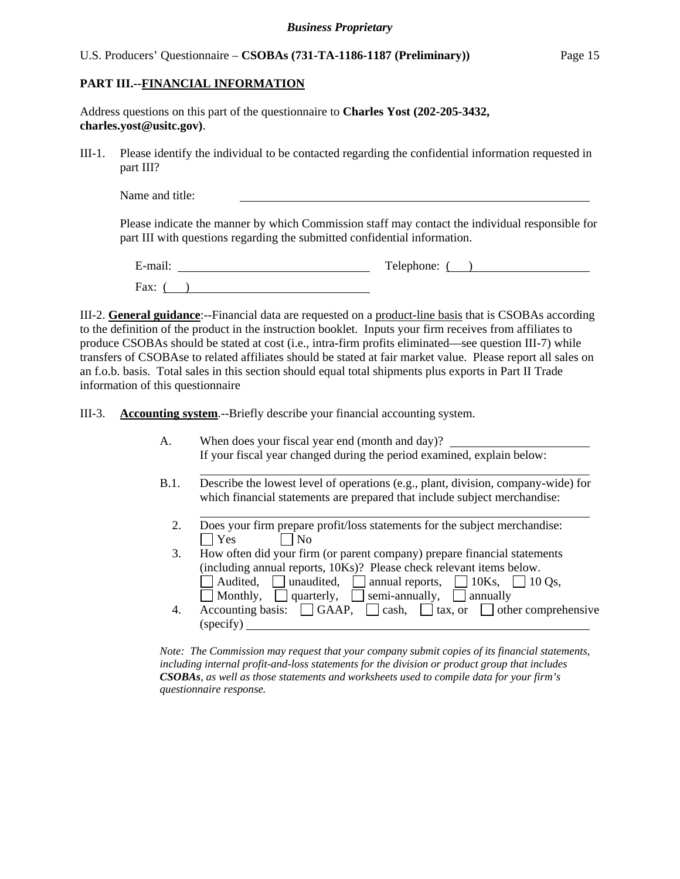#### U.S. Producers' Questionnaire – **CSOBAs (731-TA-1186-1187 (Preliminary))** Page 15

#### **PART III.--FINANCIAL INFORMATION**

l

l

| Address questions on this part of the questionnaire to <b>Charles Yost</b> (202-205-3432, |  |  |
|-------------------------------------------------------------------------------------------|--|--|
| charles.yost@ustc.gov.                                                                    |  |  |

III-1. Please identify the individual to be contacted regarding the confidential information requested in part III?

Name and title:

Please indicate the manner by which Commission staff may contact the individual responsible for part III with questions regarding the submitted confidential information.

E-mail: Telephone: ( ) Fax:  $($ )

III-2. **General guidance**:--Financial data are requested on a product-line basis that is CSOBAs according to the definition of the product in the instruction booklet. Inputs your firm receives from affiliates to produce CSOBAs should be stated at cost (i.e., intra-firm profits eliminated—see question III-7) while transfers of CSOBAse to related affiliates should be stated at fair market value. Please report all sales on an f.o.b. basis. Total sales in this section should equal total shipments plus exports in Part II Trade information of this questionnaire

III-3. **Accounting system**.--Briefly describe your financial accounting system.

- A. When does your fiscal year end (month and day)? If your fiscal year changed during the period examined, explain below:
- B.1. Describe the lowest level of operations (e.g., plant, division, company-wide) for which financial statements are prepared that include subject merchandise:
	- 2. Does your firm prepare profit/loss statements for the subject merchandise:<br> $\Box$  Yes  $\Box$  No  $\Box$  No
	- 3. How often did your firm (or parent company) prepare financial statements (including annual reports, 10Ks)? Please check relevant items below. Audited, unaudited, annual reports,  $\Box$  10Ks,  $\Box$  10 Qs,  $\Box$  Monthly,  $\Box$  quarterly,  $\Box$  semi-annually,  $\Box$  annually 4. Accounting basis:  $\Box$  GAAP,  $\Box$  cash,  $\Box$  tax, or  $\Box$  other comprehensive (specify)

*Note: The Commission may request that your company submit copies of its financial statements, including internal profit-and-loss statements for the division or product group that includes CSOBAs, as well as those statements and worksheets used to compile data for your firm's questionnaire response.*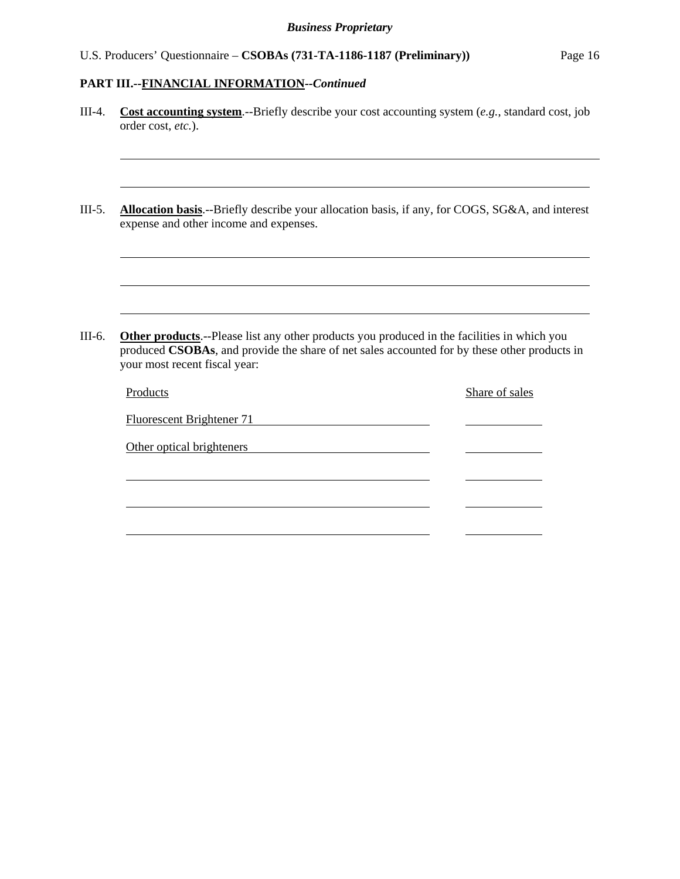| Cost accounting system.--Briefly describe your cost accounting system (e.g., standard cost, job<br>order cost, etc.).                                                                                                                |  |                |  |
|--------------------------------------------------------------------------------------------------------------------------------------------------------------------------------------------------------------------------------------|--|----------------|--|
|                                                                                                                                                                                                                                      |  |                |  |
| Allocation basis.--Briefly describe your allocation basis, if any, for COGS, SG&A, and interest<br>expense and other income and expenses.                                                                                            |  |                |  |
|                                                                                                                                                                                                                                      |  |                |  |
|                                                                                                                                                                                                                                      |  |                |  |
|                                                                                                                                                                                                                                      |  |                |  |
| <b>Other products</b> .--Please list any other products you produced in the facilities in which you<br>produced CSOBAs, and provide the share of net sales accounted for by these other products in<br>your most recent fiscal year: |  |                |  |
| Products                                                                                                                                                                                                                             |  | Share of sales |  |
| <b>Fluorescent Brightener 71</b>                                                                                                                                                                                                     |  |                |  |
| Other optical brighteners                                                                                                                                                                                                            |  |                |  |
|                                                                                                                                                                                                                                      |  |                |  |
|                                                                                                                                                                                                                                      |  |                |  |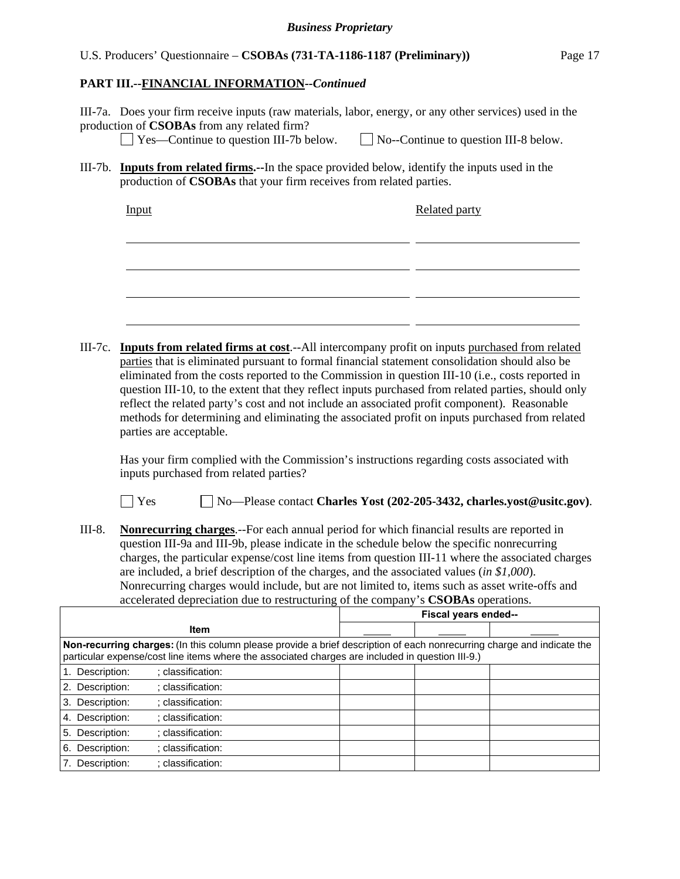#### U.S. Producers' Questionnaire – **CSOBAs (731-TA-1186-1187 (Preliminary))** Page 17

#### **PART III.--FINANCIAL INFORMATION***--Continued*

III-7a. Does your firm receive inputs (raw materials, labor, energy, or any other services) used in the production of **CSOBAs** from any related firm?

Yes—Continue to question III-7b below. No--Continue to question III-8 below.

III-7b. **Inputs from related firms.--**In the space provided below, identify the inputs used in the production of **CSOBAs** that your firm receives from related parties.

| Input | <b>Related party</b> |
|-------|----------------------|
|       |                      |
|       |                      |
|       |                      |
|       |                      |
|       |                      |
|       |                      |

III-7c. **Inputs from related firms at cost**.--All intercompany profit on inputs purchased from related parties that is eliminated pursuant to formal financial statement consolidation should also be eliminated from the costs reported to the Commission in question III-10 (i.e., costs reported in question III-10, to the extent that they reflect inputs purchased from related parties, should only reflect the related party's cost and not include an associated profit component). Reasonable methods for determining and eliminating the associated profit on inputs purchased from related parties are acceptable.

 Has your firm complied with the Commission's instructions regarding costs associated with inputs purchased from related parties?

Yes No—Please contact **Charles Yost (202-205-3432, charles.yost@usitc.gov)**.

III-8. **Nonrecurring charges**.--For each annual period for which financial results are reported in question III-9a and III-9b, please indicate in the schedule below the specific nonrecurring charges, the particular expense/cost line items from question III-11 where the associated charges are included, a brief description of the charges, and the associated values (*in \$1,000*). Nonrecurring charges would include, but are not limited to, items such as asset write-offs and accelerated depreciation due to restructuring of the company's **CSOBAs** operations.

|                                                                                                                                                                                                                            | Fiscal years ended-- |  |  |  |  |
|----------------------------------------------------------------------------------------------------------------------------------------------------------------------------------------------------------------------------|----------------------|--|--|--|--|
| <b>Item</b>                                                                                                                                                                                                                |                      |  |  |  |  |
| Non-recurring charges: (In this column please provide a brief description of each nonrecurring charge and indicate the<br>particular expense/cost line items where the associated charges are included in question III-9.) |                      |  |  |  |  |
| 1. Description:<br>: classification:                                                                                                                                                                                       |                      |  |  |  |  |
| 2. Description:<br>: classification:                                                                                                                                                                                       |                      |  |  |  |  |
| 3. Description:<br>: classification:                                                                                                                                                                                       |                      |  |  |  |  |
| 4. Description:<br>: classification:                                                                                                                                                                                       |                      |  |  |  |  |
| 5. Description:<br>: classification:                                                                                                                                                                                       |                      |  |  |  |  |
| 6. Description:<br>; classification:                                                                                                                                                                                       |                      |  |  |  |  |
| : classification:<br>7. Description:                                                                                                                                                                                       |                      |  |  |  |  |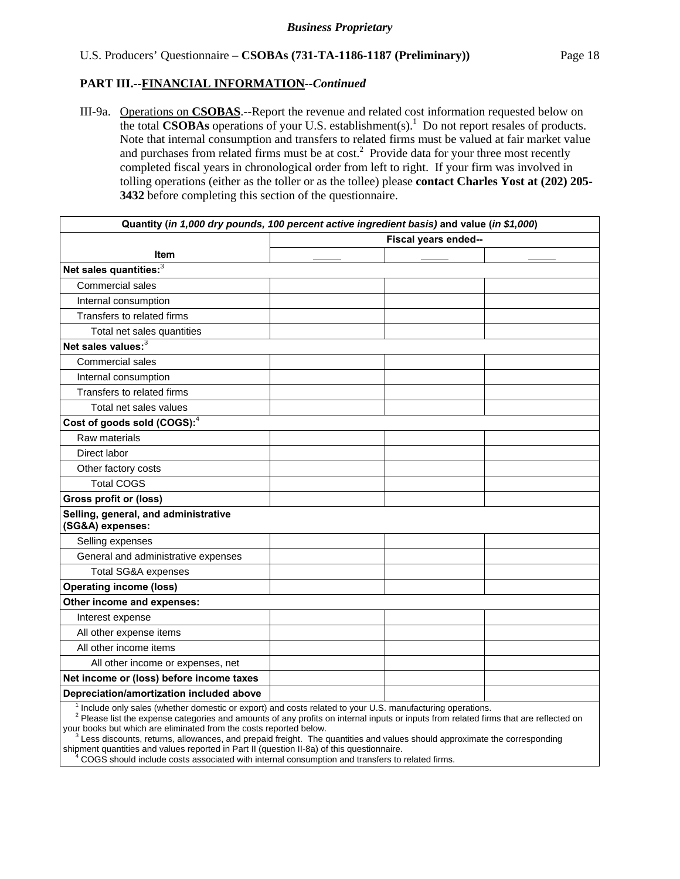III-9a. Operations on **CSOBAS**.--Report the revenue and related cost information requested below on the total **CSOBAs** operations of your U.S. establishment(s).<sup>1</sup> Do not report resales of products. Note that internal consumption and transfers to related firms must be valued at fair market value and purchases from related firms must be at  $cost<sup>2</sup>$ . Provide data for your three most recently completed fiscal years in chronological order from left to right. If your firm was involved in tolling operations (either as the toller or as the tollee) please **contact Charles Yost at (202) 205- 3432** before completing this section of the questionnaire.

| Quantity (in 1,000 dry pounds, 100 percent active ingredient basis) and value (in \$1,000)               |                      |  |  |
|----------------------------------------------------------------------------------------------------------|----------------------|--|--|
|                                                                                                          | Fiscal years ended-- |  |  |
| <b>Item</b>                                                                                              |                      |  |  |
| Net sales quantities: <sup>3</sup>                                                                       |                      |  |  |
| Commercial sales                                                                                         |                      |  |  |
| Internal consumption                                                                                     |                      |  |  |
| Transfers to related firms                                                                               |                      |  |  |
| Total net sales quantities                                                                               |                      |  |  |
| Net sales values: <sup>3</sup>                                                                           |                      |  |  |
| Commercial sales                                                                                         |                      |  |  |
| Internal consumption                                                                                     |                      |  |  |
| Transfers to related firms                                                                               |                      |  |  |
| Total net sales values                                                                                   |                      |  |  |
| Cost of goods sold (COGS): <sup>4</sup>                                                                  |                      |  |  |
| Raw materials                                                                                            |                      |  |  |
| Direct labor                                                                                             |                      |  |  |
| Other factory costs                                                                                      |                      |  |  |
| <b>Total COGS</b>                                                                                        |                      |  |  |
| <b>Gross profit or (loss)</b>                                                                            |                      |  |  |
| Selling, general, and administrative<br>(SG&A) expenses:                                                 |                      |  |  |
| Selling expenses                                                                                         |                      |  |  |
| General and administrative expenses                                                                      |                      |  |  |
| <b>Total SG&amp;A expenses</b>                                                                           |                      |  |  |
| <b>Operating income (loss)</b>                                                                           |                      |  |  |
| Other income and expenses:                                                                               |                      |  |  |
| Interest expense                                                                                         |                      |  |  |
| All other expense items                                                                                  |                      |  |  |
| All other income items                                                                                   |                      |  |  |
| All other income or expenses, net                                                                        |                      |  |  |
| Net income or (loss) before income taxes                                                                 |                      |  |  |
| Depreciation/amortization included above                                                                 |                      |  |  |
| Include only sales (whether domestic or export) and costs related to your U.S. manufacturing operations. |                      |  |  |

I sales (whether domestic or export) and costs related to your U.S. manufacturing o

<sup>2</sup> Please list the expense categories and amounts of any profits on internal inputs or inputs from related firms that are reflected on your books but which are eliminated from the costs reported below.

 $3$  Less discounts, returns, allowances, and prepaid freight. The quantities and values should approximate the corresponding shipment quantities and values reported in Part II (question II-8a) of this questionnaire.

 <sup>4</sup> COGS should include costs associated with internal consumption and transfers to related firms.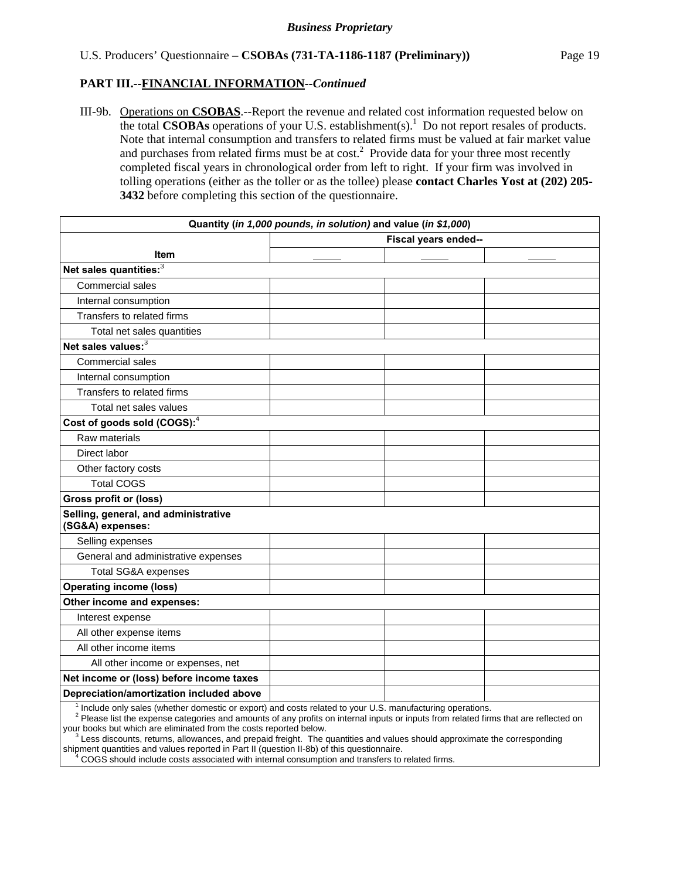III-9b. Operations on **CSOBAS**.--Report the revenue and related cost information requested below on the total **CSOBAs** operations of your U.S. establishment(s).<sup>1</sup> Do not report resales of products. Note that internal consumption and transfers to related firms must be valued at fair market value and purchases from related firms must be at  $cost<sup>2</sup>$ . Provide data for your three most recently completed fiscal years in chronological order from left to right. If your firm was involved in tolling operations (either as the toller or as the tollee) please **contact Charles Yost at (202) 205- 3432** before completing this section of the questionnaire.

| Quantity (in 1,000 pounds, in solution) and value (in \$1,000)                                                                                                                                                                                                            |                      |  |  |
|---------------------------------------------------------------------------------------------------------------------------------------------------------------------------------------------------------------------------------------------------------------------------|----------------------|--|--|
|                                                                                                                                                                                                                                                                           | Fiscal years ended-- |  |  |
| <b>Item</b>                                                                                                                                                                                                                                                               |                      |  |  |
| Net sales quantities: <sup>3</sup>                                                                                                                                                                                                                                        |                      |  |  |
| Commercial sales                                                                                                                                                                                                                                                          |                      |  |  |
| Internal consumption                                                                                                                                                                                                                                                      |                      |  |  |
| Transfers to related firms                                                                                                                                                                                                                                                |                      |  |  |
| Total net sales quantities                                                                                                                                                                                                                                                |                      |  |  |
| Net sales values: <sup>3</sup>                                                                                                                                                                                                                                            |                      |  |  |
| Commercial sales                                                                                                                                                                                                                                                          |                      |  |  |
| Internal consumption                                                                                                                                                                                                                                                      |                      |  |  |
| Transfers to related firms                                                                                                                                                                                                                                                |                      |  |  |
| Total net sales values                                                                                                                                                                                                                                                    |                      |  |  |
| Cost of goods sold (COGS): <sup>4</sup>                                                                                                                                                                                                                                   |                      |  |  |
| Raw materials                                                                                                                                                                                                                                                             |                      |  |  |
| Direct labor                                                                                                                                                                                                                                                              |                      |  |  |
| Other factory costs                                                                                                                                                                                                                                                       |                      |  |  |
| <b>Total COGS</b>                                                                                                                                                                                                                                                         |                      |  |  |
| <b>Gross profit or (loss)</b>                                                                                                                                                                                                                                             |                      |  |  |
| Selling, general, and administrative<br>(SG&A) expenses:                                                                                                                                                                                                                  |                      |  |  |
| Selling expenses                                                                                                                                                                                                                                                          |                      |  |  |
| General and administrative expenses                                                                                                                                                                                                                                       |                      |  |  |
| <b>Total SG&amp;A expenses</b>                                                                                                                                                                                                                                            |                      |  |  |
| <b>Operating income (loss)</b>                                                                                                                                                                                                                                            |                      |  |  |
| Other income and expenses:                                                                                                                                                                                                                                                |                      |  |  |
| Interest expense                                                                                                                                                                                                                                                          |                      |  |  |
| All other expense items                                                                                                                                                                                                                                                   |                      |  |  |
| All other income items                                                                                                                                                                                                                                                    |                      |  |  |
| All other income or expenses, net                                                                                                                                                                                                                                         |                      |  |  |
| Net income or (loss) before income taxes                                                                                                                                                                                                                                  |                      |  |  |
| Depreciation/amortization included above                                                                                                                                                                                                                                  |                      |  |  |
| <sup>1</sup> Include only sales (whether domestic or export) and costs related to your U.S. manufacturing operations.<br><sup>2</sup> Please list the expense categories and amounts of any profits on internal inputs or inputs from related firms that are reflected on |                      |  |  |

your books but which are eliminated from the costs reported below.<br><sup>3</sup> Less discounts, returns, allowances, and prepaid freight. The c

Less discounts, returns, allowances, and prepaid freight. The quantities and values should approximate the corresponding shipment quantities and values reported in Part II (question II-8b) of this questionnaire.

 <sup>4</sup> COGS should include costs associated with internal consumption and transfers to related firms.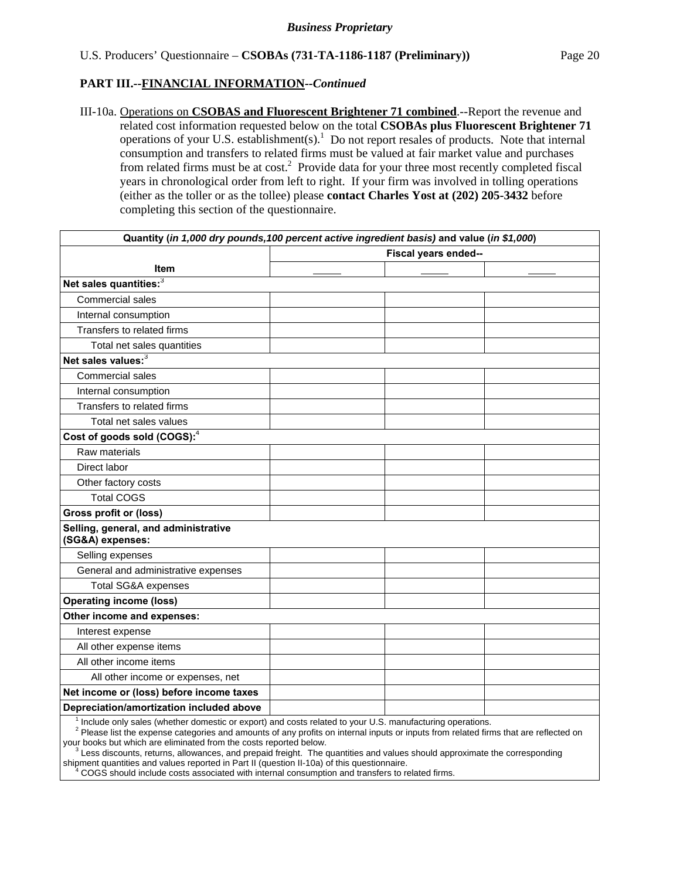III-10a. Operations on **CSOBAS and Fluorescent Brightener 71 combined**.--Report the revenue and related cost information requested below on the total **CSOBAs plus Fluorescent Brightener 71** operations of your U.S. establishment(s). $<sup>1</sup>$  Do not report resales of products. Note that internal</sup> consumption and transfers to related firms must be valued at fair market value and purchases from related firms must be at cost.<sup>2</sup> Provide data for your three most recently completed fiscal years in chronological order from left to right. If your firm was involved in tolling operations (either as the toller or as the tollee) please **contact Charles Yost at (202) 205-3432** before completing this section of the questionnaire.

| Quantity (in 1,000 dry pounds, 100 percent active ingredient basis) and value (in \$1,000)               |  |                      |  |  |  |
|----------------------------------------------------------------------------------------------------------|--|----------------------|--|--|--|
|                                                                                                          |  | Fiscal years ended-- |  |  |  |
| <b>Item</b>                                                                                              |  |                      |  |  |  |
| Net sales quantities: <sup>3</sup>                                                                       |  |                      |  |  |  |
| <b>Commercial sales</b>                                                                                  |  |                      |  |  |  |
| Internal consumption                                                                                     |  |                      |  |  |  |
| Transfers to related firms                                                                               |  |                      |  |  |  |
| Total net sales quantities                                                                               |  |                      |  |  |  |
| Net sales values:3                                                                                       |  |                      |  |  |  |
| Commercial sales                                                                                         |  |                      |  |  |  |
| Internal consumption                                                                                     |  |                      |  |  |  |
| Transfers to related firms                                                                               |  |                      |  |  |  |
| Total net sales values                                                                                   |  |                      |  |  |  |
| Cost of goods sold (COGS): <sup>4</sup>                                                                  |  |                      |  |  |  |
| Raw materials                                                                                            |  |                      |  |  |  |
| Direct labor                                                                                             |  |                      |  |  |  |
| Other factory costs                                                                                      |  |                      |  |  |  |
| <b>Total COGS</b>                                                                                        |  |                      |  |  |  |
| <b>Gross profit or (loss)</b>                                                                            |  |                      |  |  |  |
| Selling, general, and administrative<br>(SG&A) expenses:                                                 |  |                      |  |  |  |
| Selling expenses                                                                                         |  |                      |  |  |  |
| General and administrative expenses                                                                      |  |                      |  |  |  |
| Total SG&A expenses                                                                                      |  |                      |  |  |  |
| <b>Operating income (loss)</b>                                                                           |  |                      |  |  |  |
| Other income and expenses:                                                                               |  |                      |  |  |  |
| Interest expense                                                                                         |  |                      |  |  |  |
| All other expense items                                                                                  |  |                      |  |  |  |
| All other income items                                                                                   |  |                      |  |  |  |
| All other income or expenses, net                                                                        |  |                      |  |  |  |
| Net income or (loss) before income taxes                                                                 |  |                      |  |  |  |
| Depreciation/amortization included above                                                                 |  |                      |  |  |  |
| Include only sales (whether domestic or export) and costs related to your U.S. manufacturing operations. |  |                      |  |  |  |

<sup>1</sup> Include only sales (whether domestic or export) and costs related to your U.S. manufacturing operations.<br><sup>2</sup> Please list the expense categories and amounts of any profits on internal inputs or inputs from related firms your books but which are eliminated from the costs reported below.

 $3$  Less discounts, returns, allowances, and prepaid freight. The quantities and values should approximate the corresponding

shipment quantities and values reported in Part II (question II-10a) of this questionnaire.<br><sup>4</sup> COGS should include costs associated with internal consumption and transfers to re COGS should include costs associated with internal consumption and transfers to related firms.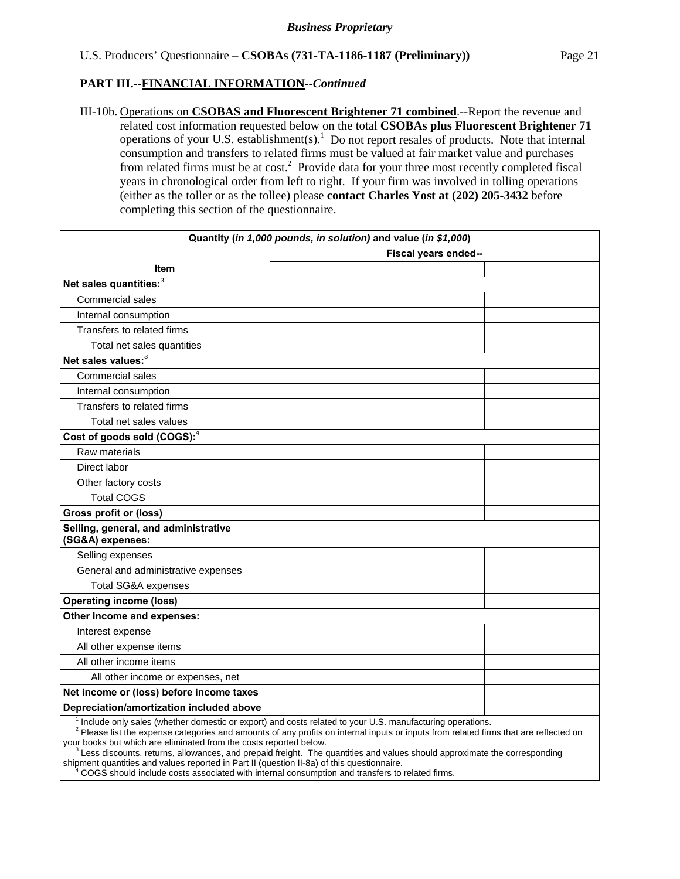III-10b. Operations on **CSOBAS and Fluorescent Brightener 71 combined**.--Report the revenue and related cost information requested below on the total **CSOBAs plus Fluorescent Brightener 71** operations of your U.S. establishment(s). $<sup>1</sup>$  Do not report resales of products. Note that internal</sup> consumption and transfers to related firms must be valued at fair market value and purchases from related firms must be at cost.<sup>2</sup> Provide data for your three most recently completed fiscal years in chronological order from left to right. If your firm was involved in tolling operations (either as the toller or as the tollee) please **contact Charles Yost at (202) 205-3432** before completing this section of the questionnaire.

|                                                                                                          | Quantity (in 1,000 pounds, in solution) and value (in \$1,000) |                      |  |
|----------------------------------------------------------------------------------------------------------|----------------------------------------------------------------|----------------------|--|
|                                                                                                          |                                                                | Fiscal years ended-- |  |
| <b>Item</b>                                                                                              |                                                                |                      |  |
| Net sales quantities:3                                                                                   |                                                                |                      |  |
| Commercial sales                                                                                         |                                                                |                      |  |
| Internal consumption                                                                                     |                                                                |                      |  |
| Transfers to related firms                                                                               |                                                                |                      |  |
| Total net sales quantities                                                                               |                                                                |                      |  |
| Net sales values: <sup>3</sup>                                                                           |                                                                |                      |  |
| Commercial sales                                                                                         |                                                                |                      |  |
| Internal consumption                                                                                     |                                                                |                      |  |
| Transfers to related firms                                                                               |                                                                |                      |  |
| Total net sales values                                                                                   |                                                                |                      |  |
| Cost of goods sold (COGS): $4$                                                                           |                                                                |                      |  |
| Raw materials                                                                                            |                                                                |                      |  |
| Direct labor                                                                                             |                                                                |                      |  |
| Other factory costs                                                                                      |                                                                |                      |  |
| <b>Total COGS</b>                                                                                        |                                                                |                      |  |
| <b>Gross profit or (loss)</b>                                                                            |                                                                |                      |  |
| Selling, general, and administrative<br>(SG&A) expenses:                                                 |                                                                |                      |  |
| Selling expenses                                                                                         |                                                                |                      |  |
| General and administrative expenses                                                                      |                                                                |                      |  |
| <b>Total SG&amp;A expenses</b>                                                                           |                                                                |                      |  |
| <b>Operating income (loss)</b>                                                                           |                                                                |                      |  |
| Other income and expenses:                                                                               |                                                                |                      |  |
| Interest expense                                                                                         |                                                                |                      |  |
| All other expense items                                                                                  |                                                                |                      |  |
| All other income items                                                                                   |                                                                |                      |  |
| All other income or expenses, net                                                                        |                                                                |                      |  |
| Net income or (loss) before income taxes                                                                 |                                                                |                      |  |
| Depreciation/amortization included above                                                                 |                                                                |                      |  |
| Include only sales (whether domestic or export) and costs related to your U.S. manufacturing operations. |                                                                |                      |  |

<sup>2</sup> Please list the expense categories and amounts of any profits on internal inputs or inputs from related firms that are reflected on your books but which are eliminated from the costs reported below.

 $3$  Less discounts, returns, allowances, and prepaid freight. The quantities and values should approximate the corresponding shipment quantities and values reported in Part II (question II-8a) of this questionnaire.<br>4 COGS should include costs associated with internal consumption and transfers to i

COGS should include costs associated with internal consumption and transfers to related firms.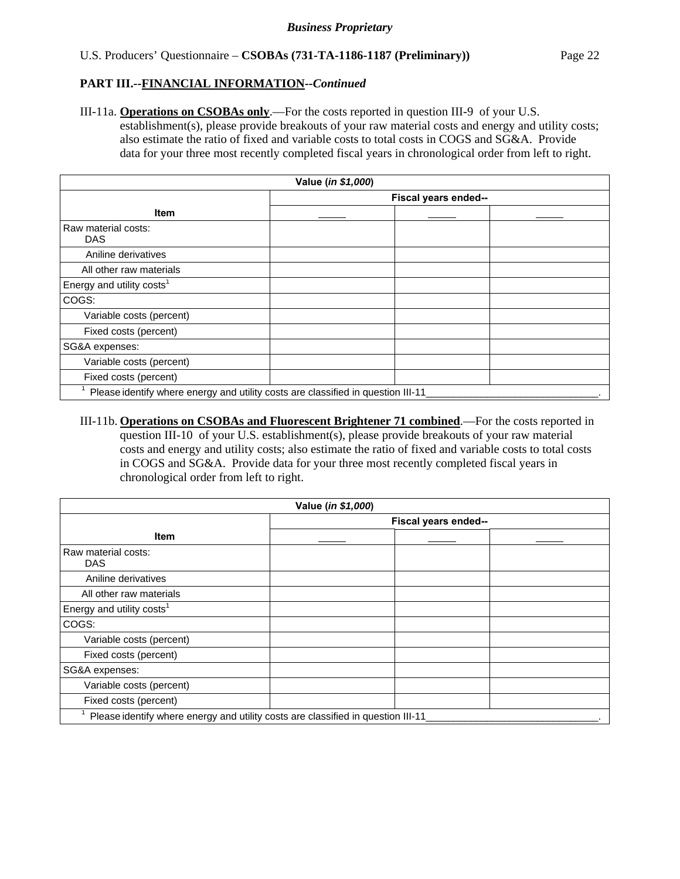### U.S. Producers' Questionnaire – **CSOBAs (731-TA-1186-1187 (Preliminary))** Page 22

#### **PART III.--FINANCIAL INFORMATION***--Continued*

III-11a. **Operations on CSOBAs only**.—For the costs reported in question III-9 of your U.S. establishment(s), please provide breakouts of your raw material costs and energy and utility costs; also estimate the ratio of fixed and variable costs to total costs in COGS and SG&A. Provide data for your three most recently completed fiscal years in chronological order from left to right.

| Value (in \$1,000)                    |                                                                                  |  |  |  |  |
|---------------------------------------|----------------------------------------------------------------------------------|--|--|--|--|
|                                       | Fiscal years ended--                                                             |  |  |  |  |
| <b>Item</b>                           |                                                                                  |  |  |  |  |
| Raw material costs:<br><b>DAS</b>     |                                                                                  |  |  |  |  |
| Aniline derivatives                   |                                                                                  |  |  |  |  |
| All other raw materials               |                                                                                  |  |  |  |  |
| Energy and utility costs <sup>1</sup> |                                                                                  |  |  |  |  |
| COGS:                                 |                                                                                  |  |  |  |  |
| Variable costs (percent)              |                                                                                  |  |  |  |  |
| Fixed costs (percent)                 |                                                                                  |  |  |  |  |
| SG&A expenses:                        |                                                                                  |  |  |  |  |
| Variable costs (percent)              |                                                                                  |  |  |  |  |
| Fixed costs (percent)                 |                                                                                  |  |  |  |  |
|                                       | Please identify where energy and utility costs are classified in question III-11 |  |  |  |  |

III-11b. **Operations on CSOBAs and Fluorescent Brightener 71 combined**.—For the costs reported in question III-10 of your U.S. establishment(s), please provide breakouts of your raw material costs and energy and utility costs; also estimate the ratio of fixed and variable costs to total costs in COGS and SG&A. Provide data for your three most recently completed fiscal years in chronological order from left to right.

| Value (in \$1,000)                    |                                                                                  |  |  |  |  |
|---------------------------------------|----------------------------------------------------------------------------------|--|--|--|--|
|                                       | Fiscal years ended--                                                             |  |  |  |  |
| Item                                  |                                                                                  |  |  |  |  |
| Raw material costs:<br><b>DAS</b>     |                                                                                  |  |  |  |  |
| Aniline derivatives                   |                                                                                  |  |  |  |  |
| All other raw materials               |                                                                                  |  |  |  |  |
| Energy and utility costs <sup>1</sup> |                                                                                  |  |  |  |  |
| COGS:                                 |                                                                                  |  |  |  |  |
| Variable costs (percent)              |                                                                                  |  |  |  |  |
| Fixed costs (percent)                 |                                                                                  |  |  |  |  |
| SG&A expenses:                        |                                                                                  |  |  |  |  |
| Variable costs (percent)              |                                                                                  |  |  |  |  |
| Fixed costs (percent)                 |                                                                                  |  |  |  |  |
|                                       | Please identify where energy and utility costs are classified in question III-11 |  |  |  |  |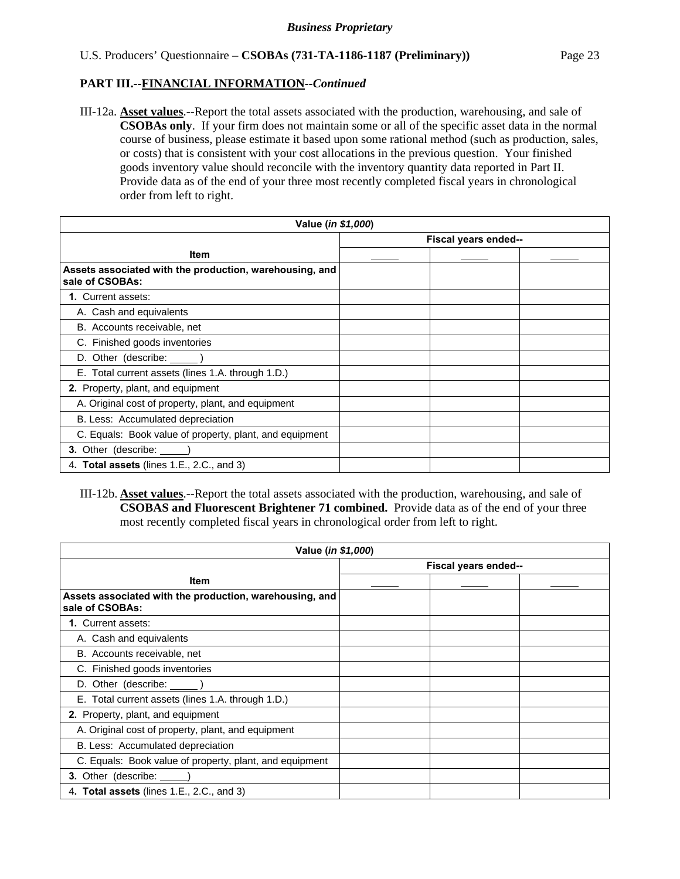III-12a. **Asset values**.--Report the total assets associated with the production, warehousing, and sale of **CSOBAs only**. If your firm does not maintain some or all of the specific asset data in the normal course of business, please estimate it based upon some rational method (such as production, sales, or costs) that is consistent with your cost allocations in the previous question. Your finished goods inventory value should reconcile with the inventory quantity data reported in Part II. Provide data as of the end of your three most recently completed fiscal years in chronological order from left to right.

| Value ( <i>in \$1,000</i> )                                                |                      |  |  |  |
|----------------------------------------------------------------------------|----------------------|--|--|--|
|                                                                            | Fiscal years ended-- |  |  |  |
| <b>Item</b>                                                                |                      |  |  |  |
| Assets associated with the production, warehousing, and<br>sale of CSOBAs: |                      |  |  |  |
| <b>1. Current assets:</b>                                                  |                      |  |  |  |
| A. Cash and equivalents                                                    |                      |  |  |  |
| B. Accounts receivable, net                                                |                      |  |  |  |
| C. Finished goods inventories                                              |                      |  |  |  |
| D. Other (describe: ______)                                                |                      |  |  |  |
| E. Total current assets (lines 1.A. through 1.D.)                          |                      |  |  |  |
| 2. Property, plant, and equipment                                          |                      |  |  |  |
| A. Original cost of property, plant, and equipment                         |                      |  |  |  |
| B. Less: Accumulated depreciation                                          |                      |  |  |  |
| C. Equals: Book value of property, plant, and equipment                    |                      |  |  |  |
| 3. Other (describe: \[                                                     |                      |  |  |  |
| 4. Total assets (lines 1.E., 2.C., and 3)                                  |                      |  |  |  |

# III-12b. **Asset values**.--Report the total assets associated with the production, warehousing, and sale of **CSOBAS and Fluorescent Brightener 71 combined.** Provide data as of the end of your three most recently completed fiscal years in chronological order from left to right.

| Value (in \$1,000)                                                         |  |                      |  |  |
|----------------------------------------------------------------------------|--|----------------------|--|--|
|                                                                            |  | Fiscal years ended-- |  |  |
| <b>Item</b>                                                                |  |                      |  |  |
| Assets associated with the production, warehousing, and<br>sale of CSOBAs: |  |                      |  |  |
| 1. Current assets:                                                         |  |                      |  |  |
| A. Cash and equivalents                                                    |  |                      |  |  |
| B. Accounts receivable, net                                                |  |                      |  |  |
| C. Finished goods inventories                                              |  |                      |  |  |
| D. Other (describe: ______)                                                |  |                      |  |  |
| E. Total current assets (lines 1.A. through 1.D.)                          |  |                      |  |  |
| 2. Property, plant, and equipment                                          |  |                      |  |  |
| A. Original cost of property, plant, and equipment                         |  |                      |  |  |
| B. Less: Accumulated depreciation                                          |  |                      |  |  |
| C. Equals: Book value of property, plant, and equipment                    |  |                      |  |  |
| 3. Other (describe: _____                                                  |  |                      |  |  |
| 4. Total assets (lines 1.E., 2.C., and 3)                                  |  |                      |  |  |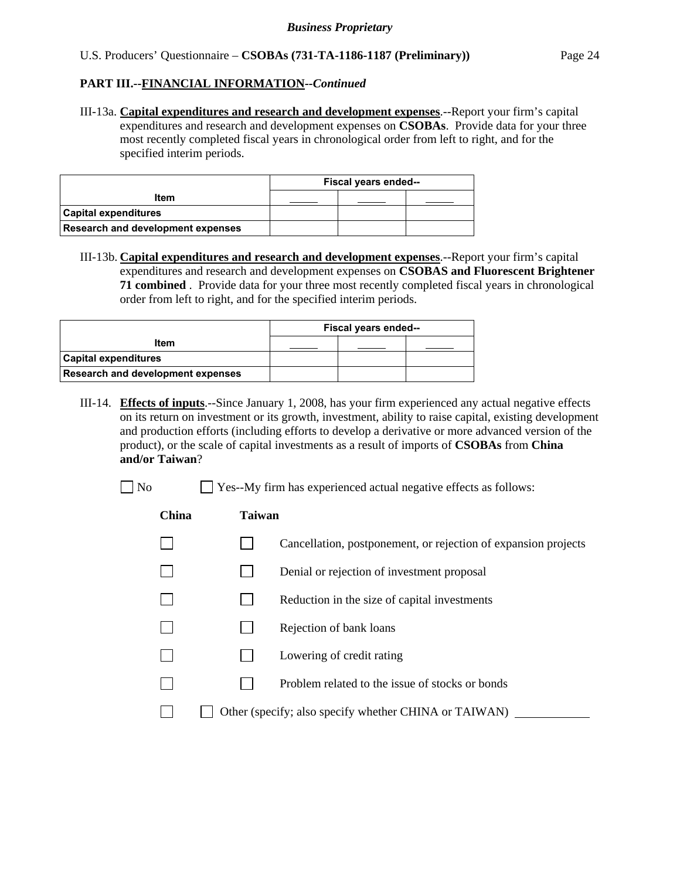#### U.S. Producers' Questionnaire – **CSOBAs (731-TA-1186-1187 (Preliminary))** Page 24

### **PART III.--FINANCIAL INFORMATION***--Continued*

III-13a. **Capital expenditures and research and development expenses**.--Report your firm's capital expenditures and research and development expenses on **CSOBAs**. Provide data for your three most recently completed fiscal years in chronological order from left to right, and for the specified interim periods.

|                                          | Fiscal years ended-- |  |  |  |
|------------------------------------------|----------------------|--|--|--|
| Item                                     |                      |  |  |  |
| Capital expenditures                     |                      |  |  |  |
| <b>Research and development expenses</b> |                      |  |  |  |

III-13b. **Capital expenditures and research and development expenses**.--Report your firm's capital expenditures and research and development expenses on **CSOBAS and Fluorescent Brightener 71 combined** . Provide data for your three most recently completed fiscal years in chronological order from left to right, and for the specified interim periods.

|                                          | Fiscal years ended-- |  |  |  |
|------------------------------------------|----------------------|--|--|--|
| Item                                     |                      |  |  |  |
| Capital expenditures                     |                      |  |  |  |
| <b>Research and development expenses</b> |                      |  |  |  |

- III-14. **Effects of inputs**.--Since January 1, 2008, has your firm experienced any actual negative effects on its return on investment or its growth, investment, ability to raise capital, existing development and production efforts (including efforts to develop a derivative or more advanced version of the product), or the scale of capital investments as a result of imports of **CSOBAs** from **China and/or Taiwan**?
	-

No  $\Box$  Yes--My firm has experienced actual negative effects as follows:

# **China Taiwan**

- $\Box$  Cancellation, postponement, or rejection of expansion projects
	- $\Box$  Denial or rejection of investment proposal
	- $\Box$  Reduction in the size of capital investments
	- $\Box$  Rejection of bank loans
		- **Lowering of credit rating**
		- $\n$  Problem related to the issue of stocks or bonds
- $\Box$  Other (specify; also specify whether CHINA or TAIWAN)  $\Box$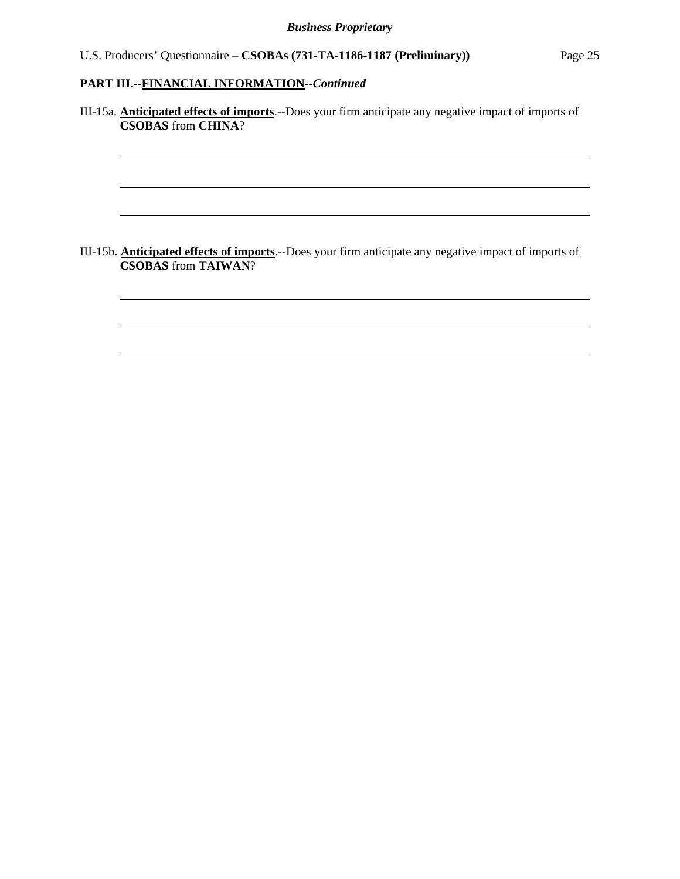l

 $\overline{a}$ 

 $\overline{a}$ 

l

 $\overline{a}$ 

 $\overline{a}$ 

III-15a. **Anticipated effects of imports**.--Does your firm anticipate any negative impact of imports of **CSOBAS** from **CHINA**?

III-15b. **Anticipated effects of imports**.--Does your firm anticipate any negative impact of imports of **CSOBAS** from **TAIWAN**?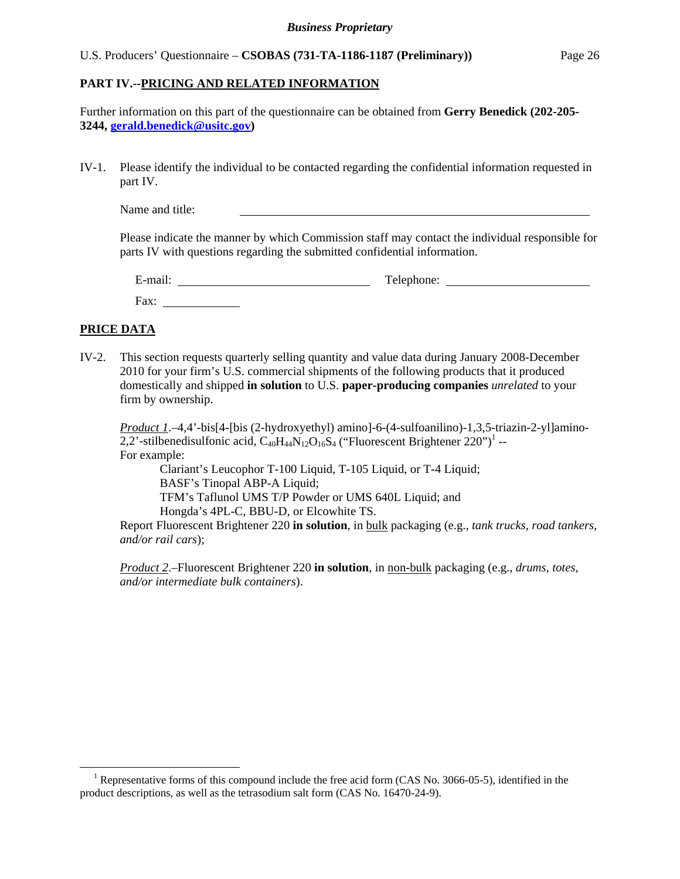#### U.S. Producers' Questionnaire – **CSOBAS (731-TA-1186-1187 (Preliminary))** Page 26

#### **PART IV.--PRICING AND RELATED INFORMATION**

Further information on this part of the questionnaire can be obtained from **Gerry Benedick (202-205- 3244, gerald.benedick@usitc.gov)**

IV-1. Please identify the individual to be contacted regarding the confidential information requested in part IV.

Name and title:

Please indicate the manner by which Commission staff may contact the individual responsible for parts IV with questions regarding the submitted confidential information.

| $\cdot$ $\cdot$<br>$\sim$<br>$ man.$ | $\mathbf{r}$<br>phone:<br>. $\Delta$ $\Delta$ $\tau$<br>T ATC |
|--------------------------------------|---------------------------------------------------------------|
| Fax:                                 |                                                               |

# **PRICE DATA**

 $\overline{a}$ 

IV-2. This section requests quarterly selling quantity and value data during January 2008-December 2010 for your firm's U.S. commercial shipments of the following products that it produced domestically and shipped **in solution** to U.S. **paper-producing companies** *unrelated* to your firm by ownership.

*Product 1*.–4,4'-bis[4-[bis (2-hydroxyethyl) amino]-6-(4-sulfoanilino)-1,3,5-triazin-2-yl]amino-2,2'-stilbenedisulfonic acid,  $C_{40}H_{44}N_{12}O_{16}S_4$  ("Fluorescent Brightener 220")<sup>1</sup> --For example:

 Clariant's Leucophor T-100 Liquid, T-105 Liquid, or T-4 Liquid; BASF's Tinopal ABP-A Liquid; TFM's Taflunol UMS T/P Powder or UMS 640L Liquid; and Hongda's 4PL-C, BBU-D, or Elcowhite TS.

Report Fluorescent Brightener 220 **in solution**, in bulk packaging (e.g., *tank trucks, road tankers, and/or rail cars*);

*Product 2*.–Fluorescent Brightener 220 **in solution**, in non-bulk packaging (e.g., *drums, totes, and/or intermediate bulk containers*).

<sup>&</sup>lt;sup>1</sup> Representative forms of this compound include the free acid form (CAS No. 3066-05-5), identified in the product descriptions, as well as the tetrasodium salt form (CAS No. 16470-24-9).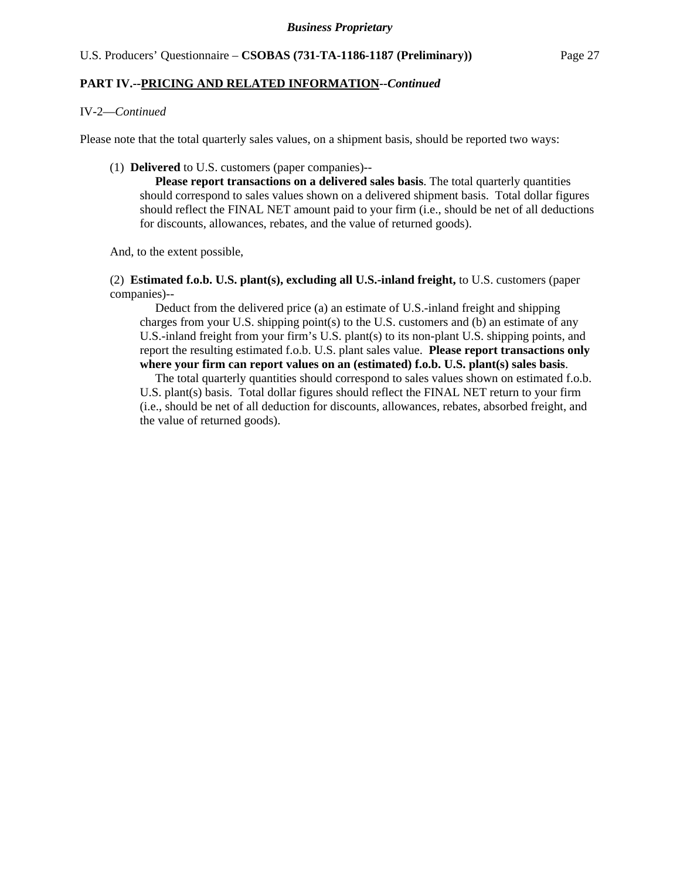#### IV-2—*Continued*

Please note that the total quarterly sales values, on a shipment basis, should be reported two ways:

#### (1) **Delivered** to U.S. customers (paper companies)--

 **Please report transactions on a delivered sales basis**. The total quarterly quantities should correspond to sales values shown on a delivered shipment basis. Total dollar figures should reflect the FINAL NET amount paid to your firm (i.e., should be net of all deductions for discounts, allowances, rebates, and the value of returned goods).

And, to the extent possible,

 (2) **Estimated f.o.b. U.S. plant(s), excluding all U.S.-inland freight,** to U.S. customers (paper companies)--

 Deduct from the delivered price (a) an estimate of U.S.-inland freight and shipping charges from your U.S. shipping point(s) to the U.S. customers and (b) an estimate of any U.S.-inland freight from your firm's U.S. plant(s) to its non-plant U.S. shipping points, and report the resulting estimated f.o.b. U.S. plant sales value. **Please report transactions only where your firm can report values on an (estimated) f.o.b. U.S. plant(s) sales basis**.

The total quarterly quantities should correspond to sales values shown on estimated f.o.b. U.S. plant(s) basis. Total dollar figures should reflect the FINAL NET return to your firm (i.e., should be net of all deduction for discounts, allowances, rebates, absorbed freight, and the value of returned goods).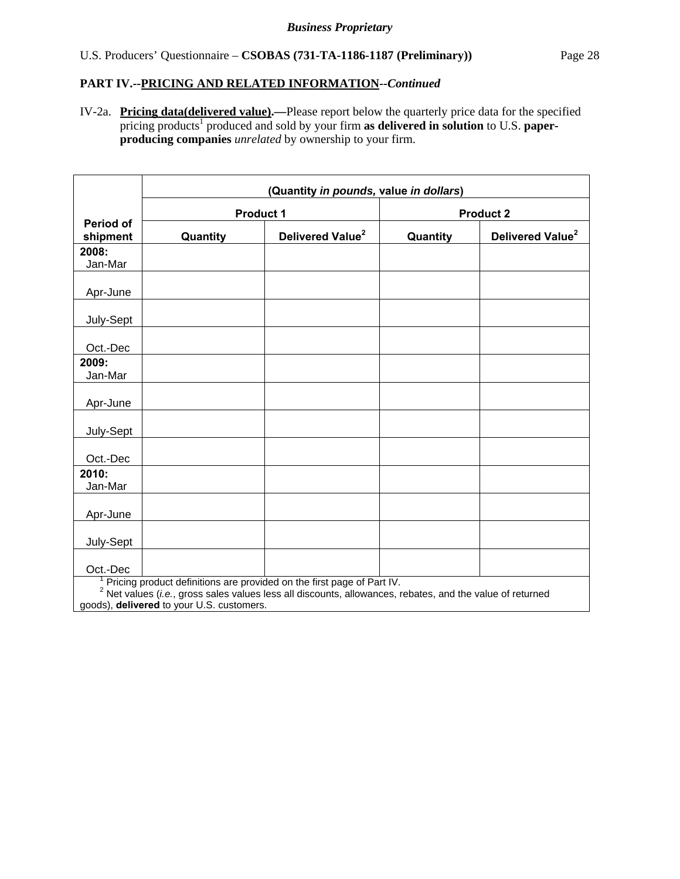IV-2a. **Pricing data(delivered value).—**Please report below the quarterly price data for the specified pricing products<sup>1</sup> produced and sold by your firm as delivered in solution to U.S. paper**producing companies** *unrelated* by ownership to your firm.

|                              | (Quantity in pounds, value in dollars)                                                                                                                                                                                             |                              |          |                              |  |
|------------------------------|------------------------------------------------------------------------------------------------------------------------------------------------------------------------------------------------------------------------------------|------------------------------|----------|------------------------------|--|
|                              | <b>Product 1</b><br><b>Product 2</b>                                                                                                                                                                                               |                              |          |                              |  |
| <b>Period of</b><br>shipment | Quantity                                                                                                                                                                                                                           | Delivered Value <sup>2</sup> | Quantity | Delivered Value <sup>2</sup> |  |
| 2008:<br>Jan-Mar             |                                                                                                                                                                                                                                    |                              |          |                              |  |
| Apr-June                     |                                                                                                                                                                                                                                    |                              |          |                              |  |
| July-Sept                    |                                                                                                                                                                                                                                    |                              |          |                              |  |
| Oct.-Dec                     |                                                                                                                                                                                                                                    |                              |          |                              |  |
| 2009:<br>Jan-Mar             |                                                                                                                                                                                                                                    |                              |          |                              |  |
| Apr-June                     |                                                                                                                                                                                                                                    |                              |          |                              |  |
| July-Sept                    |                                                                                                                                                                                                                                    |                              |          |                              |  |
| Oct.-Dec                     |                                                                                                                                                                                                                                    |                              |          |                              |  |
| 2010:<br>Jan-Mar             |                                                                                                                                                                                                                                    |                              |          |                              |  |
| Apr-June                     |                                                                                                                                                                                                                                    |                              |          |                              |  |
| July-Sept                    |                                                                                                                                                                                                                                    |                              |          |                              |  |
| Oct.-Dec                     |                                                                                                                                                                                                                                    |                              |          |                              |  |
|                              | Pricing product definitions are provided on the first page of Part IV.<br>$2$ Net values (i.e., gross sales values less all discounts, allowances, rebates, and the value of returned<br>goods), delivered to your U.S. customers. |                              |          |                              |  |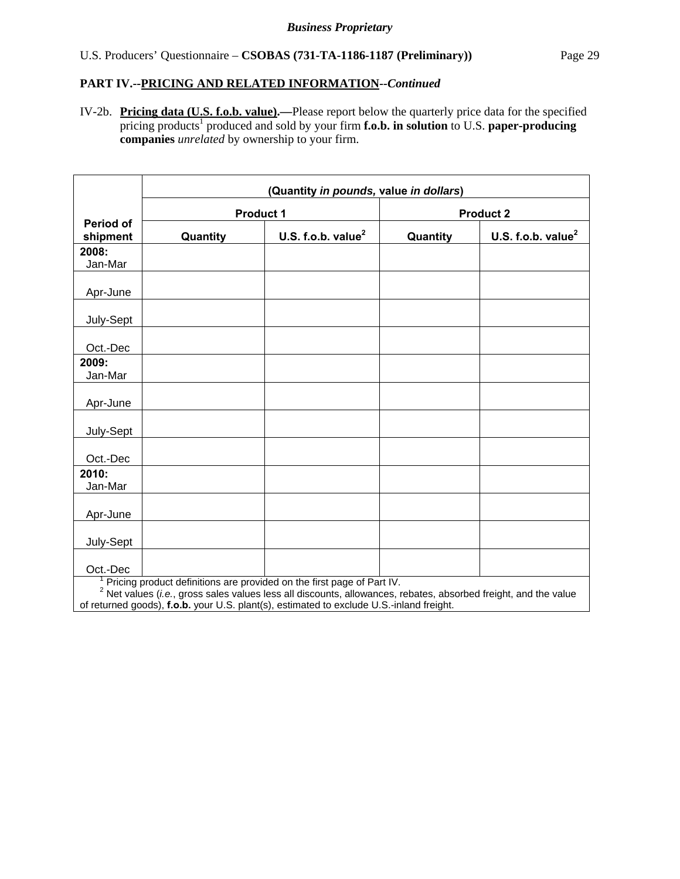IV-2b. **Pricing data (U.S. f.o.b. value).—**Please report below the quarterly price data for the specified pricing products<sup>1</sup> produced and sold by your firm **f.o.b. in solution** to U.S. paper-producing **companies** *unrelated* by ownership to your firm.

|                              | (Quantity in pounds, value in dollars) |                                                                                                                                                                                             |          |                                |  |
|------------------------------|----------------------------------------|---------------------------------------------------------------------------------------------------------------------------------------------------------------------------------------------|----------|--------------------------------|--|
|                              |                                        | <b>Product 1</b>                                                                                                                                                                            |          | <b>Product 2</b>               |  |
| <b>Period of</b><br>shipment | Quantity                               | U.S. f.o.b. value $^2$                                                                                                                                                                      | Quantity | U.S. f.o.b. value <sup>2</sup> |  |
| 2008:<br>Jan-Mar             |                                        |                                                                                                                                                                                             |          |                                |  |
| Apr-June                     |                                        |                                                                                                                                                                                             |          |                                |  |
| July-Sept                    |                                        |                                                                                                                                                                                             |          |                                |  |
| Oct.-Dec                     |                                        |                                                                                                                                                                                             |          |                                |  |
| 2009:<br>Jan-Mar             |                                        |                                                                                                                                                                                             |          |                                |  |
| Apr-June                     |                                        |                                                                                                                                                                                             |          |                                |  |
| July-Sept                    |                                        |                                                                                                                                                                                             |          |                                |  |
| Oct.-Dec                     |                                        |                                                                                                                                                                                             |          |                                |  |
| 2010:<br>Jan-Mar             |                                        |                                                                                                                                                                                             |          |                                |  |
| Apr-June                     |                                        |                                                                                                                                                                                             |          |                                |  |
| July-Sept                    |                                        |                                                                                                                                                                                             |          |                                |  |
| Oct.-Dec                     |                                        | Pricing product definitions are provided on the first page of Part IV.<br>$2$ Net values (i.e., gross sales values less all discounts, allowances, rebates, absorbed freight, and the value |          |                                |  |
|                              |                                        | of returned goods), f.o.b. your U.S. plant(s), estimated to exclude U.S.-inland freight.                                                                                                    |          |                                |  |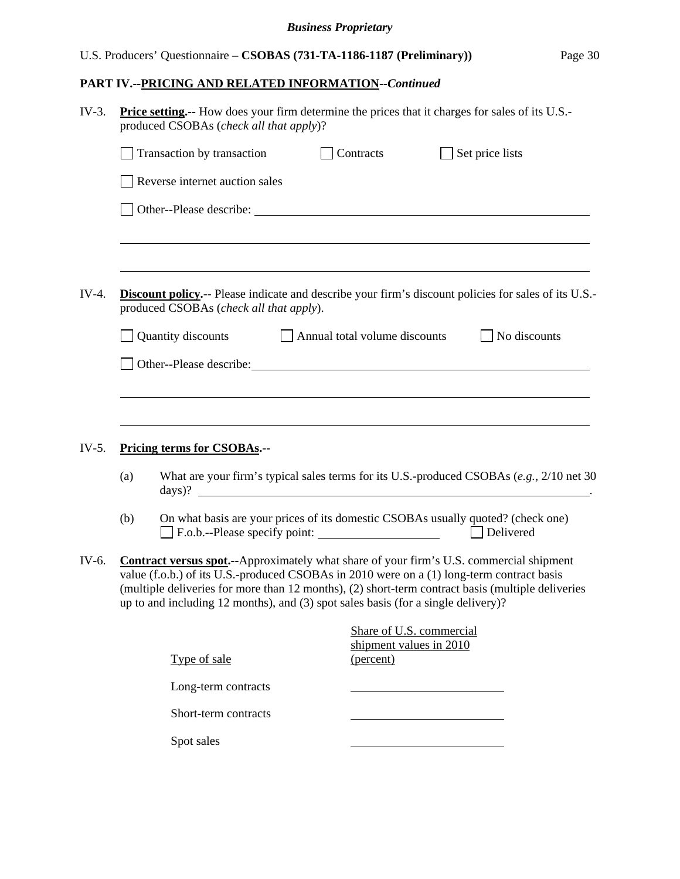# *Business Proprietary*

# U.S. Producers' Questionnaire – **CSOBAS (731-TA-1186-1187 (Preliminary))** Page 30

# **PART IV.--PRICING AND RELATED INFORMATION***--Continued*

| $IV-3.$<br><b>Price setting.</b> -- How does your firm determine the prices that it charges for sales of its U.S.-<br>produced CSOBAs (check all that apply)? |     |                                                                                                                                                                                                                                                                                                                                                                                        |                               |           |                                                     |                 |  |
|---------------------------------------------------------------------------------------------------------------------------------------------------------------|-----|----------------------------------------------------------------------------------------------------------------------------------------------------------------------------------------------------------------------------------------------------------------------------------------------------------------------------------------------------------------------------------------|-------------------------------|-----------|-----------------------------------------------------|-----------------|--|
|                                                                                                                                                               |     | Transaction by transaction                                                                                                                                                                                                                                                                                                                                                             |                               | Contracts |                                                     | Set price lists |  |
|                                                                                                                                                               |     | Reverse internet auction sales                                                                                                                                                                                                                                                                                                                                                         |                               |           |                                                     |                 |  |
|                                                                                                                                                               |     | Other--Please describe: University of the set of the set of the set of the set of the set of the set of the set of the set of the set of the set of the set of the set of the set of the set of the set of the set of the set                                                                                                                                                          |                               |           |                                                     |                 |  |
|                                                                                                                                                               |     |                                                                                                                                                                                                                                                                                                                                                                                        |                               |           |                                                     |                 |  |
| $IV-4.$                                                                                                                                                       |     | <b>Discount policy.</b> -- Please indicate and describe your firm's discount policies for sales of its U.S.-<br>produced CSOBAs (check all that apply).                                                                                                                                                                                                                                |                               |           |                                                     |                 |  |
|                                                                                                                                                               |     | Quantity discounts                                                                                                                                                                                                                                                                                                                                                                     | Annual total volume discounts |           |                                                     | No discounts    |  |
|                                                                                                                                                               |     | Other--Please describe: Manual Contract of the Contract of the Contract of the Contract of the Contract of the Contract of the Contract of the Contract of the Contract of the Contract of the Contract of the Contract of the                                                                                                                                                         |                               |           |                                                     |                 |  |
|                                                                                                                                                               |     |                                                                                                                                                                                                                                                                                                                                                                                        |                               |           |                                                     |                 |  |
|                                                                                                                                                               |     |                                                                                                                                                                                                                                                                                                                                                                                        |                               |           |                                                     |                 |  |
| $IV-5.$                                                                                                                                                       |     | Pricing terms for CSOBAs.--                                                                                                                                                                                                                                                                                                                                                            |                               |           |                                                     |                 |  |
|                                                                                                                                                               | (a) | What are your firm's typical sales terms for its U.S.-produced CSOBAs $(e.g., 2/10$ net 30<br>$\frac{days}{?}$                                                                                                                                                                                                                                                                         |                               |           |                                                     |                 |  |
|                                                                                                                                                               | (b) | On what basis are your prices of its domestic CSOBAs usually quoted? (check one)                                                                                                                                                                                                                                                                                                       |                               |           |                                                     | Delivered       |  |
| IV-6.                                                                                                                                                         |     | <b>Contract versus spot.--</b> Approximately what share of your firm's U.S. commercial shipment<br>value (f.o.b.) of its U.S.-produced CSOBAs in 2010 were on a (1) long-term contract basis<br>(multiple deliveries for more than 12 months), (2) short-term contract basis (multiple deliveries<br>up to and including 12 months), and (3) spot sales basis (for a single delivery)? |                               |           |                                                     |                 |  |
|                                                                                                                                                               |     |                                                                                                                                                                                                                                                                                                                                                                                        |                               |           | Share of U.S. commercial<br>shipment values in 2010 |                 |  |
|                                                                                                                                                               |     | Type of sale                                                                                                                                                                                                                                                                                                                                                                           |                               | (percent) |                                                     |                 |  |
|                                                                                                                                                               |     | Long-term contracts                                                                                                                                                                                                                                                                                                                                                                    |                               |           |                                                     |                 |  |
|                                                                                                                                                               |     | Short-term contracts                                                                                                                                                                                                                                                                                                                                                                   |                               |           |                                                     |                 |  |
|                                                                                                                                                               |     | Spot sales                                                                                                                                                                                                                                                                                                                                                                             |                               |           |                                                     |                 |  |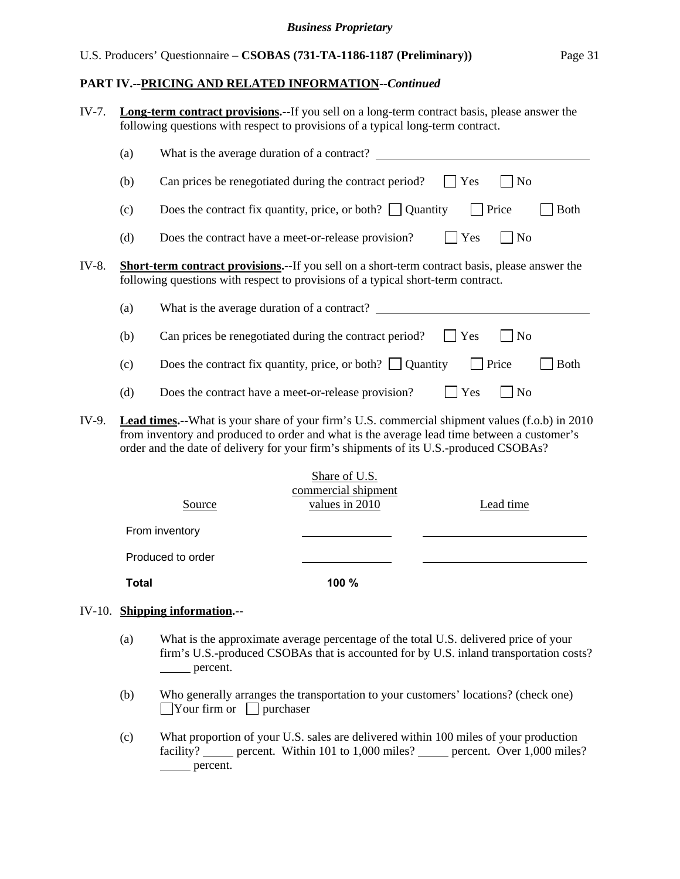#### *Business Proprietary*

#### U.S. Producers' Questionnaire – **CSOBAS (731-TA-1186-1187 (Preliminary))** Page 31

#### **PART IV.--PRICING AND RELATED INFORMATION***--Continued*

|       |              | IV-10. Shipping information.--                      |                                                                                                                                                                                                                                                                                        |                |                  |             |
|-------|--------------|-----------------------------------------------------|----------------------------------------------------------------------------------------------------------------------------------------------------------------------------------------------------------------------------------------------------------------------------------------|----------------|------------------|-------------|
|       | <b>Total</b> |                                                     | 100 %                                                                                                                                                                                                                                                                                  |                |                  |             |
|       |              | Produced to order                                   |                                                                                                                                                                                                                                                                                        |                |                  |             |
|       |              | From inventory                                      |                                                                                                                                                                                                                                                                                        |                |                  |             |
|       |              | Source                                              | Share of U.S.<br>commercial shipment<br>values in 2010                                                                                                                                                                                                                                 |                | Lead time        |             |
| IV-9. |              |                                                     | Lead times.--What is your share of your firm's U.S. commercial shipment values (f.o.b) in 2010<br>from inventory and produced to order and what is the average lead time between a customer's<br>order and the date of delivery for your firm's shipments of its U.S.-produced CSOBAs? |                |                  |             |
|       | (d)          | Does the contract have a meet-or-release provision? |                                                                                                                                                                                                                                                                                        |                | Yes<br>7 No      |             |
|       | (c)          |                                                     | Does the contract fix quantity, price, or both? $\Box$ Quantity                                                                                                                                                                                                                        |                | Price            | <b>Both</b> |
|       | (b)          |                                                     | Can prices be renegotiated during the contract period?                                                                                                                                                                                                                                 | Yes            | $\overline{N_0}$ |             |
|       | (a)          |                                                     | What is the average duration of a contract?                                                                                                                                                                                                                                            |                |                  |             |
| IV-8. |              |                                                     | <b>Short-term contract provisions.--</b> If you sell on a short-term contract basis, please answer the<br>following questions with respect to provisions of a typical short-term contract.                                                                                             |                |                  |             |
|       | (d)          | Does the contract have a meet-or-release provision? |                                                                                                                                                                                                                                                                                        | $\mathbf{Yes}$ | $\exists$ No     |             |
|       | (c)          |                                                     | Does the contract fix quantity, price, or both? $\Box$ Quantity                                                                                                                                                                                                                        |                | Price            | <b>Both</b> |
|       | (b)          |                                                     | Can prices be renegotiated during the contract period?                                                                                                                                                                                                                                 | Yes            | No               |             |
|       | (a)          |                                                     | What is the average duration of a contract?                                                                                                                                                                                                                                            |                |                  |             |
| IV-7. |              |                                                     | <b>Long-term contract provisions.</b> --If you sell on a long-term contract basis, please answer the<br>following questions with respect to provisions of a typical long-term contract.                                                                                                |                |                  |             |

- (a) What is the approximate average percentage of the total U.S. delivered price of your firm's U.S.-produced CSOBAs that is accounted for by U.S. inland transportation costs? percent.
- (b) Who generally arranges the transportation to your customers' locations? (check one)  $\Box$ Your firm or  $\Box$  purchaser
- (c) What proportion of your U.S. sales are delivered within 100 miles of your production facility? percent. Within 101 to 1,000 miles? percent. Over  $1,000$  miles? percent.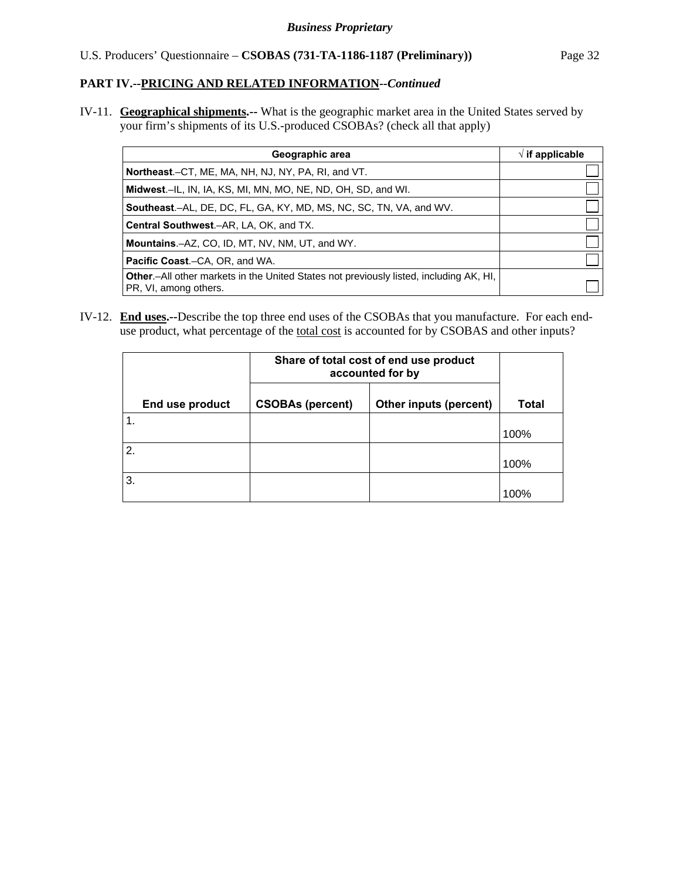IV-11. **Geographical shipments.--** What is the geographic market area in the United States served by your firm's shipments of its U.S.-produced CSOBAs? (check all that apply)

| Geographic area                                                                                                         | $\sqrt{}$ if applicable |
|-------------------------------------------------------------------------------------------------------------------------|-------------------------|
| <b>Northeast.</b> –CT, ME, MA, NH, NJ, NY, PA, RI, and VT.                                                              |                         |
| Midwest.–IL, IN, IA, KS, MI, MN, MO, NE, ND, OH, SD, and WI.                                                            |                         |
| <b>Southeast.–AL, DE, DC, FL, GA, KY, MD, MS, NC, SC, TN, VA, and WV.</b>                                               |                         |
| <b>Central Southwest.–AR, LA, OK, and TX.</b>                                                                           |                         |
| <b>Mountains.-AZ, CO, ID, MT, NV, NM, UT, and WY.</b>                                                                   |                         |
| <b>Pacific Coast.–CA, OR, and WA.</b>                                                                                   |                         |
| <b>Other</b> .-All other markets in the United States not previously listed, including AK, HI,<br>PR, VI, among others. |                         |

IV-12. **End uses.--**Describe the top three end uses of the CSOBAs that you manufacture. For each enduse product, what percentage of the <u>total cost</u> is accounted for by CSOBAS and other inputs?

|                 | Share of total cost of end use product<br>accounted for by |                        |       |
|-----------------|------------------------------------------------------------|------------------------|-------|
| End use product | <b>CSOBAs (percent)</b>                                    | Other inputs (percent) | Total |
|                 |                                                            |                        | 100%  |
| 2.              |                                                            |                        | 100%  |
| 3.              |                                                            |                        | 100%  |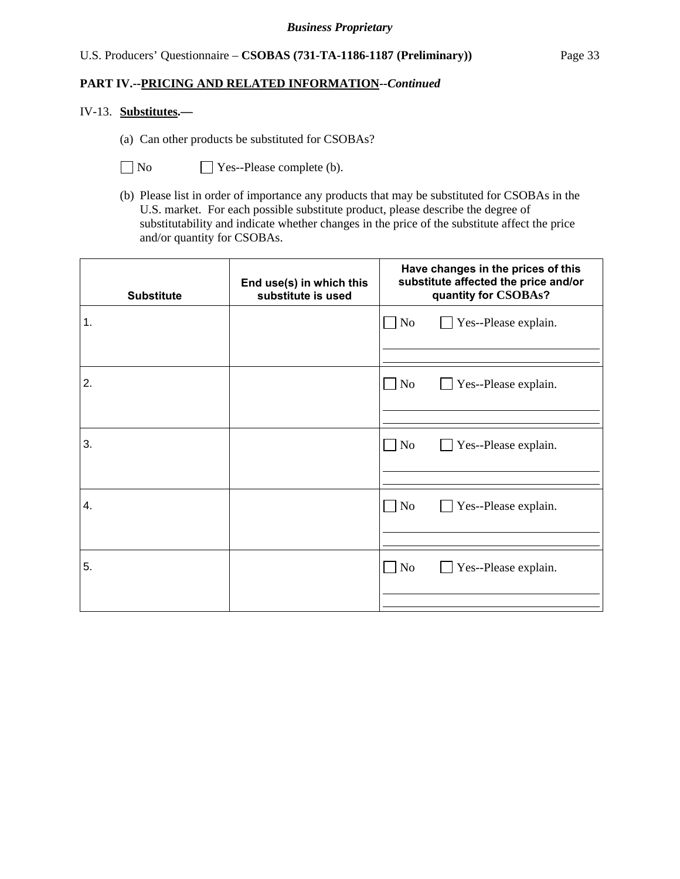#### IV-13. **Substitutes.—**

(a) Can other products be substituted for CSOBAs?

No **No** Yes--Please complete (b).

(b) Please list in order of importance any products that may be substituted for CSOBAs in the U.S. market. For each possible substitute product, please describe the degree of substitutability and indicate whether changes in the price of the substitute affect the price and/or quantity for CSOBAs.

| <b>Substitute</b> | End use(s) in which this<br>substitute is used | Have changes in the prices of this<br>substitute affected the price and/or<br>quantity for CSOBAs? |
|-------------------|------------------------------------------------|----------------------------------------------------------------------------------------------------|
| 1.                |                                                | $\Box$ No<br>Yes--Please explain.                                                                  |
| 2.                |                                                | $\blacksquare$ No<br>Yes--Please explain.                                                          |
| 3.                |                                                | $\Box$ No<br>Yes--Please explain.                                                                  |
| 4.                |                                                | $\blacksquare$ No<br>Yes--Please explain.                                                          |
| 5.                |                                                | $\blacksquare$ No<br>Yes--Please explain.                                                          |
|                   |                                                |                                                                                                    |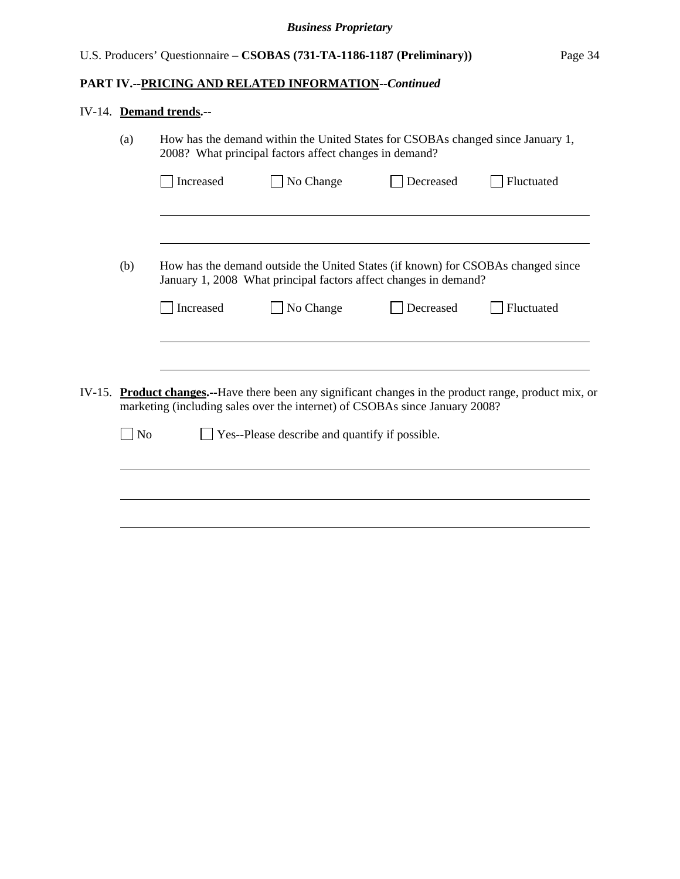# IV-14. **Demand trends.--**

|        | (a)            | How has the demand within the United States for CSOBAs changed since January 1,<br>2008? What principal factors affect changes in demand? |                                                                                                                                                      |           |                                                                                                         |  |
|--------|----------------|-------------------------------------------------------------------------------------------------------------------------------------------|------------------------------------------------------------------------------------------------------------------------------------------------------|-----------|---------------------------------------------------------------------------------------------------------|--|
|        |                | Increased                                                                                                                                 | No Change                                                                                                                                            | Decreased | Fluctuated                                                                                              |  |
|        |                |                                                                                                                                           |                                                                                                                                                      |           |                                                                                                         |  |
|        | (b)            |                                                                                                                                           | How has the demand outside the United States (if known) for CSOBAs changed since<br>January 1, 2008 What principal factors affect changes in demand? |           |                                                                                                         |  |
|        |                | Increased                                                                                                                                 | No Change                                                                                                                                            | Decreased | Fluctuated                                                                                              |  |
|        |                |                                                                                                                                           |                                                                                                                                                      |           |                                                                                                         |  |
| IV-15. |                |                                                                                                                                           | marketing (including sales over the internet) of CSOBAs since January 2008?                                                                          |           | <b>Product changes.</b> --Have there been any significant changes in the product range, product mix, or |  |
|        | N <sub>o</sub> |                                                                                                                                           | Yes--Please describe and quantify if possible.                                                                                                       |           |                                                                                                         |  |
|        |                |                                                                                                                                           |                                                                                                                                                      |           |                                                                                                         |  |
|        |                |                                                                                                                                           |                                                                                                                                                      |           |                                                                                                         |  |
|        |                |                                                                                                                                           |                                                                                                                                                      |           |                                                                                                         |  |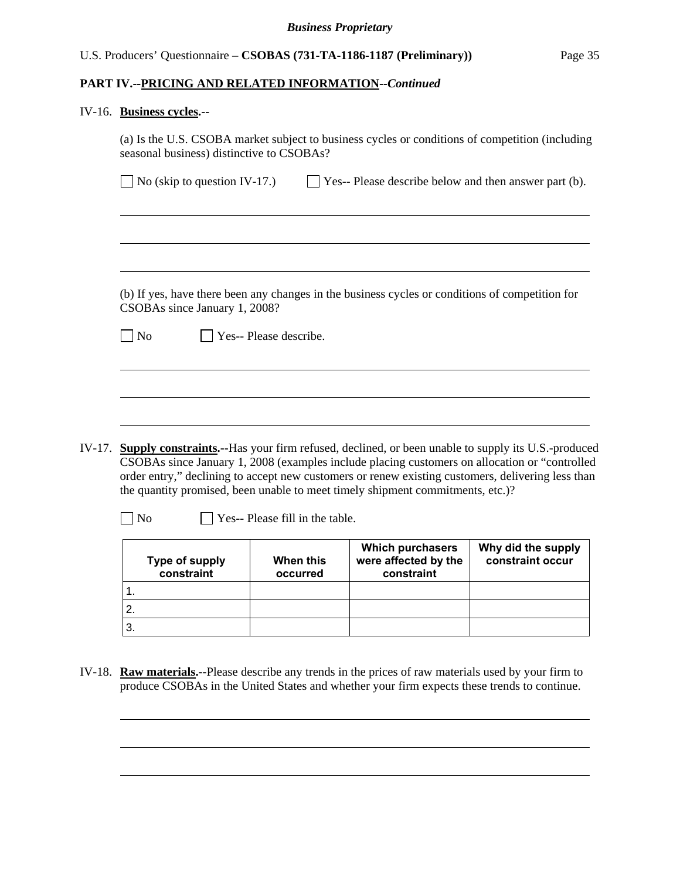# U.S. Producers' Questionnaire – **CSOBAS (731-TA-1186-1187 (Preliminary))** Page 35

#### **PART IV.--PRICING AND RELATED INFORMATION***--Continued*

#### IV-16. **Business cycles.--**

|                | $\Box$ No (skip to question IV-17.) | Yes-- Please describe below and then answer part (b).                                           |
|----------------|-------------------------------------|-------------------------------------------------------------------------------------------------|
|                |                                     |                                                                                                 |
|                |                                     |                                                                                                 |
|                |                                     |                                                                                                 |
|                |                                     |                                                                                                 |
|                |                                     |                                                                                                 |
|                |                                     |                                                                                                 |
|                |                                     | (b) If yes, have there been any changes in the business cycles or conditions of competition for |
|                | CSOBAs since January 1, 2008?       |                                                                                                 |
|                |                                     |                                                                                                 |
| N <sub>o</sub> | Yes-- Please describe.              |                                                                                                 |
|                |                                     |                                                                                                 |
|                |                                     |                                                                                                 |
|                |                                     |                                                                                                 |
|                |                                     |                                                                                                 |
|                |                                     |                                                                                                 |
|                |                                     |                                                                                                 |

- CSOBAs since January 1, 2008 (examples include placing customers on allocation or "controlled order entry," declining to accept new customers or renew existing customers, delivering less than the quantity promised, been unable to meet timely shipment commitments, etc.)?
	-

 $\overline{a}$ 

 $\Box$  No  $\Box$  Yes-- Please fill in the table.

| Type of supply<br>constraint | When this<br>occurred | <b>Which purchasers</b><br>were affected by the<br>constraint | Why did the supply<br>constraint occur |
|------------------------------|-----------------------|---------------------------------------------------------------|----------------------------------------|
|                              |                       |                                                               |                                        |
|                              |                       |                                                               |                                        |
|                              |                       |                                                               |                                        |

IV-18. **Raw materials.--**Please describe any trends in the prices of raw materials used by your firm to produce CSOBAs in the United States and whether your firm expects these trends to continue.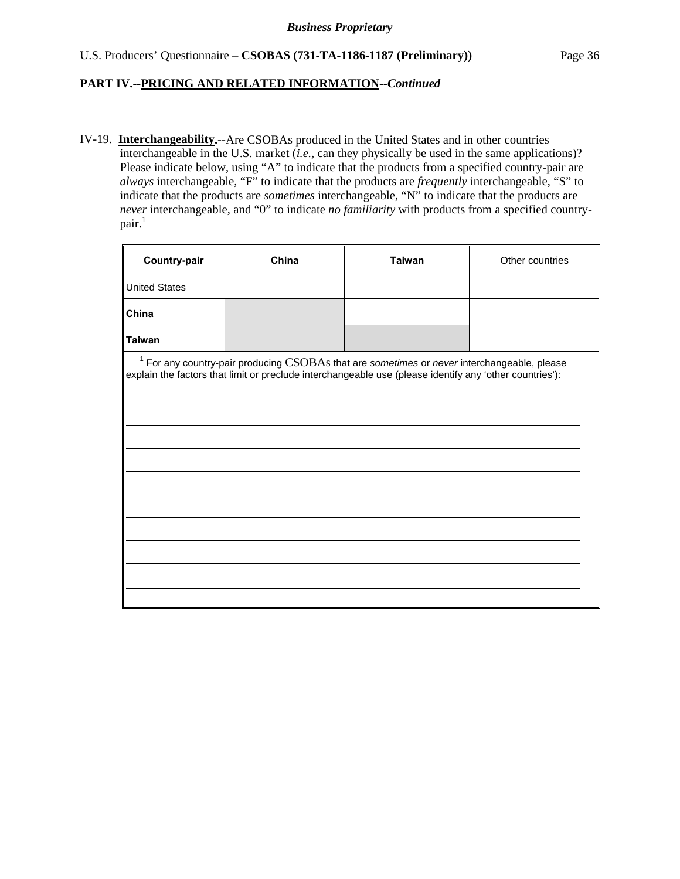IV-19. **Interchangeability.--**Are CSOBAs produced in the United States and in other countries interchangeable in the U.S. market  $(i.e.,$  can they physically be used in the same applications)? Please indicate below, using "A" to indicate that the products from a specified country-pair are *always* interchangeable, "F" to indicate that the products are *frequently* interchangeable, "S" to indicate that the products are *sometimes* interchangeable, "N" to indicate that the products are *never* interchangeable, and "0" to indicate *no familiarity* with products from a specified country $pair.<sup>1</sup>$ 

|                                                                                                                                                                                                            | Other countries |
|------------------------------------------------------------------------------------------------------------------------------------------------------------------------------------------------------------|-----------------|
|                                                                                                                                                                                                            |                 |
|                                                                                                                                                                                                            |                 |
|                                                                                                                                                                                                            |                 |
| $1$ For any country-pair producing $CSOBAs$ that are sometimes or never interchangeable, please<br>explain the factors that limit or preclude interchangeable use (please identify any 'other countries'): |                 |
|                                                                                                                                                                                                            |                 |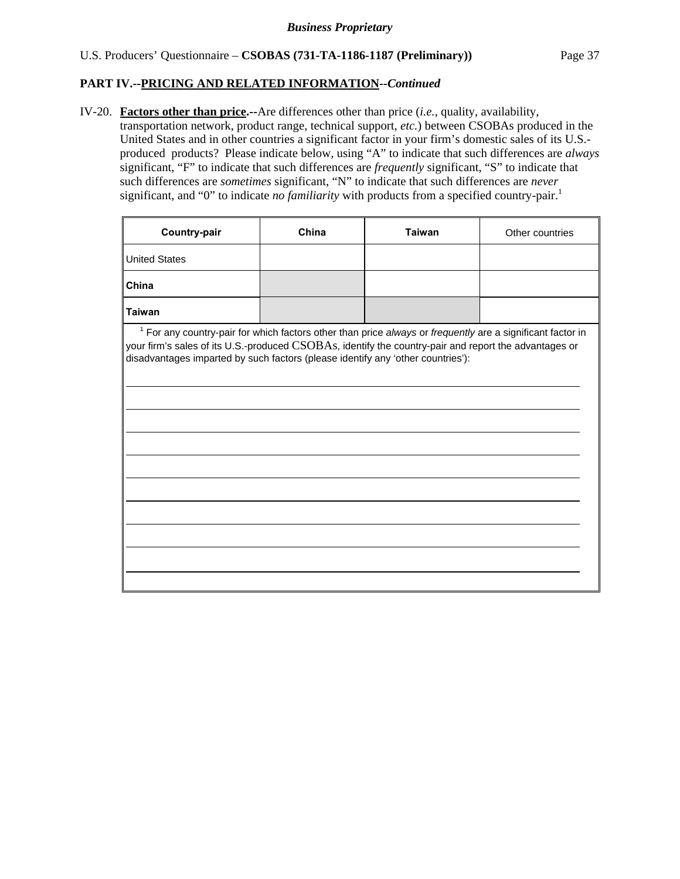$\overline{a}$ 

#### IV-20. **Factors other than price.--**Are differences other than price (*i.e.*, quality, availability,

transportation network, product range, technical support, *etc.*) between CSOBAs produced in the United States and in other countries a significant factor in your firm's domestic sales of its U.S. produced products? Please indicate below, using "A" to indicate that such differences are *always* significant, "F" to indicate that such differences are *frequently* significant, "S" to indicate that such differences are *sometimes* significant, "N" to indicate that such differences are *never* significant, and "0" to indicate *no familiarity* with products from a specified country-pair.<sup>1</sup>

| <b>Country-pair</b>  | China | Taiwan | Other countries |
|----------------------|-------|--------|-----------------|
| <b>United States</b> |       |        |                 |
| China                |       |        |                 |
| Taiwan               |       |        |                 |

<sup>1</sup> For any country-pair for which factors other than price *always* or *frequently* are a significant factor in your firm's sales of its U.S.-produced CSOBAs, identify the country-pair and report the advantages or disadvantages imparted by such factors (please identify any 'other countries'):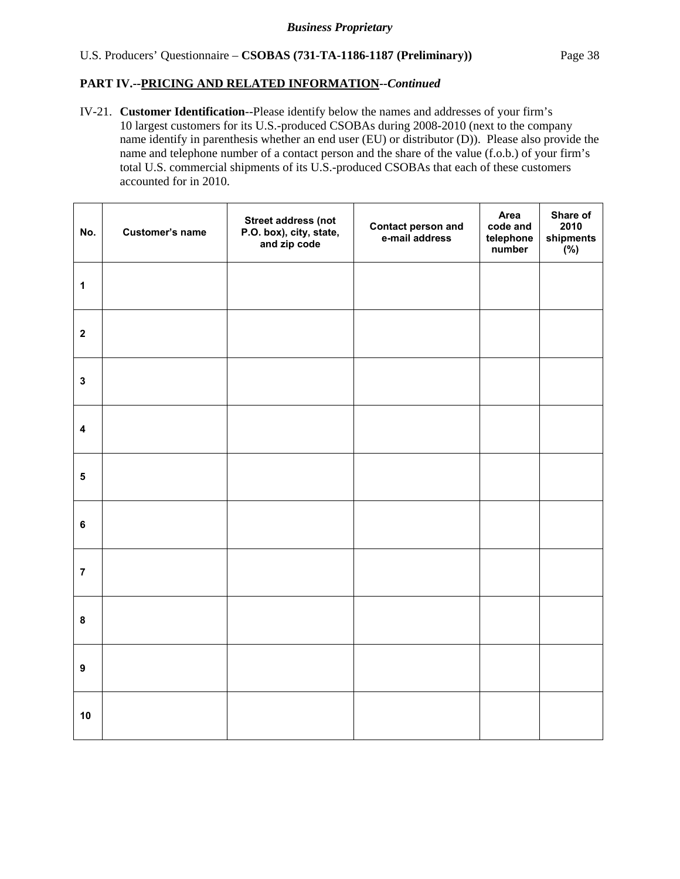# U.S. Producers' Questionnaire – **CSOBAS (731-TA-1186-1187 (Preliminary))** Page 38

# **PART IV.--PRICING AND RELATED INFORMATION***--Continued*

IV-21. **Customer Identification**--Please identify below the names and addresses of your firm's 10 largest customers for its U.S.-produced CSOBAs during 2008-2010 (next to the company name identify in parenthesis whether an end user (EU) or distributor (D)). Please also provide the name and telephone number of a contact person and the share of the value (f.o.b.) of your firm's total U.S. commercial shipments of its U.S.-produced CSOBAs that each of these customers accounted for in 2010.

| No.                     | Customer's name | <b>Street address (not</b><br>P.O. box), city, state,<br>and zip code | <b>Contact person and<br/>e-mail address</b> | Area<br>code and<br>telephone<br>number | Share of<br>2010<br>shipments<br>$(y_0)$ |
|-------------------------|-----------------|-----------------------------------------------------------------------|----------------------------------------------|-----------------------------------------|------------------------------------------|
| $\mathbf{1}$            |                 |                                                                       |                                              |                                         |                                          |
| $\mathbf 2$             |                 |                                                                       |                                              |                                         |                                          |
| $\mathbf{3}$            |                 |                                                                       |                                              |                                         |                                          |
| $\overline{\mathbf{4}}$ |                 |                                                                       |                                              |                                         |                                          |
| ${\bf 5}$               |                 |                                                                       |                                              |                                         |                                          |
| $\bf 6$                 |                 |                                                                       |                                              |                                         |                                          |
| $\overline{7}$          |                 |                                                                       |                                              |                                         |                                          |
| $\pmb{8}$               |                 |                                                                       |                                              |                                         |                                          |
| $\boldsymbol{9}$        |                 |                                                                       |                                              |                                         |                                          |
| 10                      |                 |                                                                       |                                              |                                         |                                          |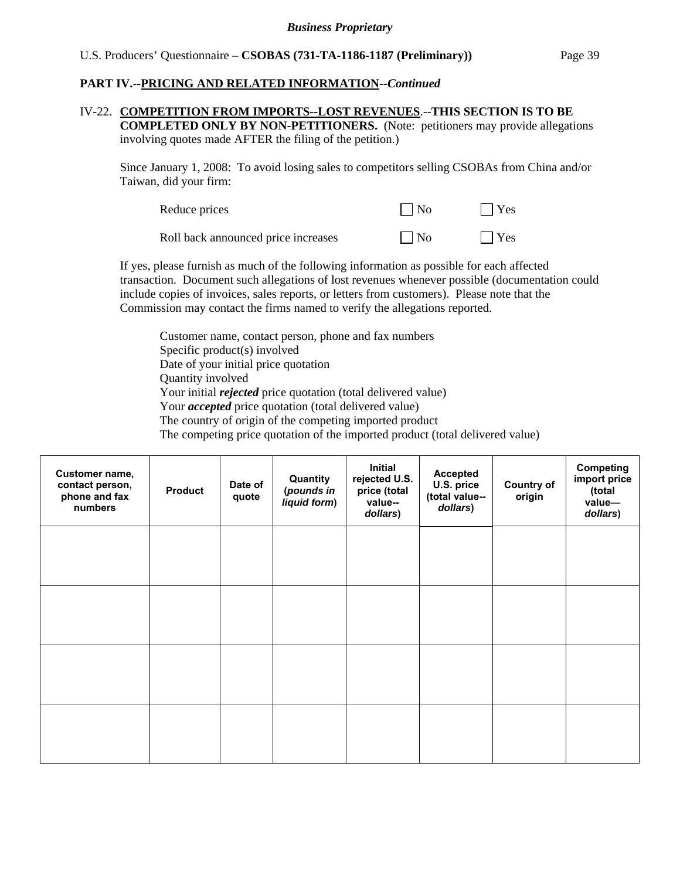#### IV-22. **COMPETITION FROM IMPORTS--LOST REVENUES**.--**THIS SECTION IS TO BE COMPLETED ONLY BY NON-PETITIONERS.** (Note: petitioners may provide allegations

involving quotes made AFTER the filing of the petition.)

Since January 1, 2008: To avoid losing sales to competitors selling CSOBAs from China and/or Taiwan, did your firm:

| Reduce prices                       | $\vert$   No | $\Box$ Yes |
|-------------------------------------|--------------|------------|
| Roll back announced price increases | $\vert$   No | $\Box$ Yes |

If yes, please furnish as much of the following information as possible for each affected transaction. Document such allegations of lost revenues whenever possible (documentation could include copies of invoices, sales reports, or letters from customers). Please note that the Commission may contact the firms named to verify the allegations reported.

Customer name, contact person, phone and fax numbers Specific product(s) involved Date of your initial price quotation Quantity involved Your initial *rejected* price quotation (total delivered value) Your *accepted* price quotation (total delivered value) The country of origin of the competing imported product The competing price quotation of the imported product (total delivered value)

| Customer name,<br>contact person,<br>phone and fax<br>numbers | <b>Product</b> | Date of<br>quote | Quantity<br>(pounds in<br>liquid form) | Initial<br>rejected U.S.<br>price (total<br>value--<br>dollars) | Accepted<br>U.S. price<br>(total value--<br>dollars) | <b>Country of</b><br>origin | <b>Competing</b><br>import price<br>(total<br>value-<br>dollars) |
|---------------------------------------------------------------|----------------|------------------|----------------------------------------|-----------------------------------------------------------------|------------------------------------------------------|-----------------------------|------------------------------------------------------------------|
|                                                               |                |                  |                                        |                                                                 |                                                      |                             |                                                                  |
|                                                               |                |                  |                                        |                                                                 |                                                      |                             |                                                                  |
|                                                               |                |                  |                                        |                                                                 |                                                      |                             |                                                                  |
|                                                               |                |                  |                                        |                                                                 |                                                      |                             |                                                                  |